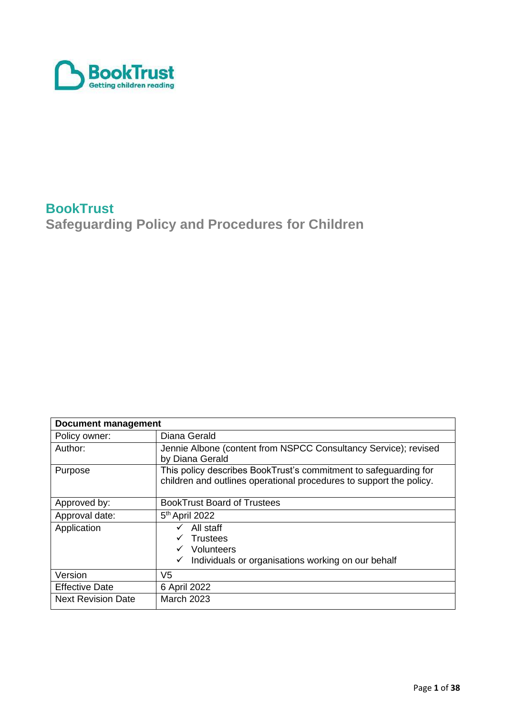

# **BookTrust**

**Safeguarding Policy and Procedures for Children**

| <b>Document management</b> |                                                                                                                                         |  |  |
|----------------------------|-----------------------------------------------------------------------------------------------------------------------------------------|--|--|
| Policy owner:              | Diana Gerald                                                                                                                            |  |  |
| Author:                    | Jennie Albone (content from NSPCC Consultancy Service); revised<br>by Diana Gerald                                                      |  |  |
| Purpose                    | This policy describes BookTrust's commitment to safeguarding for<br>children and outlines operational procedures to support the policy. |  |  |
| Approved by:               | <b>BookTrust Board of Trustees</b>                                                                                                      |  |  |
| Approval date:             | 5 <sup>th</sup> April 2022                                                                                                              |  |  |
| Application                | All staff<br>Trustees<br>Volunteers<br>Individuals or organisations working on our behalf<br>$\checkmark$                               |  |  |
| Version                    | V <sub>5</sub>                                                                                                                          |  |  |
| <b>Effective Date</b>      | 6 April 2022                                                                                                                            |  |  |
| <b>Next Revision Date</b>  | <b>March 2023</b>                                                                                                                       |  |  |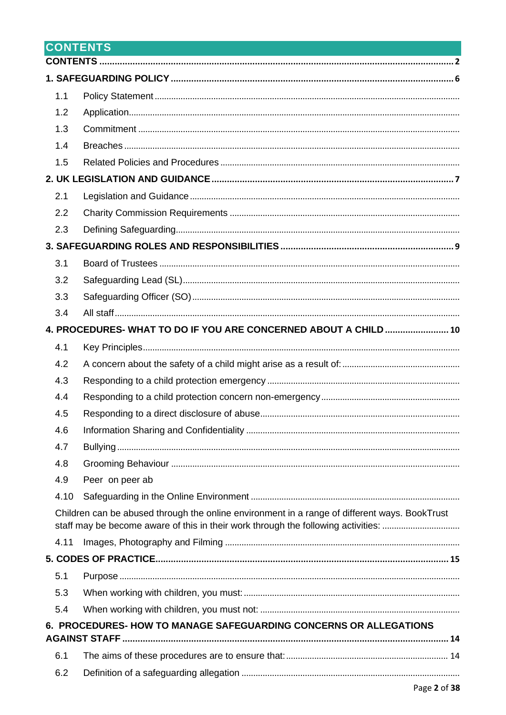# **CONTENTS**

| 1.1  |                                                                                                                                                                                    |
|------|------------------------------------------------------------------------------------------------------------------------------------------------------------------------------------|
| 1.2  |                                                                                                                                                                                    |
| 1.3  |                                                                                                                                                                                    |
| 1.4  |                                                                                                                                                                                    |
| 1.5  |                                                                                                                                                                                    |
|      |                                                                                                                                                                                    |
| 2.1  |                                                                                                                                                                                    |
| 2.2  |                                                                                                                                                                                    |
| 2.3  |                                                                                                                                                                                    |
|      |                                                                                                                                                                                    |
| 3.1  |                                                                                                                                                                                    |
| 3.2  |                                                                                                                                                                                    |
| 3.3  |                                                                                                                                                                                    |
| 3.4  |                                                                                                                                                                                    |
|      | 4. PROCEDURES- WHAT TO DO IF YOU ARE CONCERNED ABOUT A CHILD 10                                                                                                                    |
| 4.1  |                                                                                                                                                                                    |
| 4.2  |                                                                                                                                                                                    |
| 4.3  |                                                                                                                                                                                    |
| 4.4  |                                                                                                                                                                                    |
| 4.5  |                                                                                                                                                                                    |
| 4.6  |                                                                                                                                                                                    |
| 4.7  |                                                                                                                                                                                    |
| 4.8  |                                                                                                                                                                                    |
| 4.9  | Peer on peer ab                                                                                                                                                                    |
| 4.10 |                                                                                                                                                                                    |
|      | Children can be abused through the online environment in a range of different ways. BookTrust<br>staff may be become aware of this in their work through the following activities: |
| 4.11 |                                                                                                                                                                                    |
|      |                                                                                                                                                                                    |
| 5.1  |                                                                                                                                                                                    |
| 5.3  |                                                                                                                                                                                    |
| 5.4  |                                                                                                                                                                                    |
|      | 6. PROCEDURES- HOW TO MANAGE SAFEGUARDING CONCERNS OR ALLEGATIONS                                                                                                                  |
|      |                                                                                                                                                                                    |
| 6.1  |                                                                                                                                                                                    |
| 6.2  |                                                                                                                                                                                    |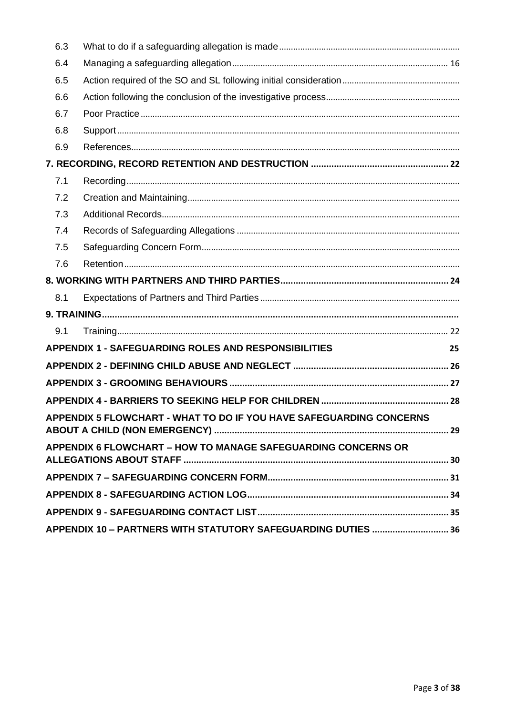| 6.3 |                                                                     |
|-----|---------------------------------------------------------------------|
| 6.4 |                                                                     |
| 6.5 |                                                                     |
| 6.6 |                                                                     |
| 6.7 |                                                                     |
| 6.8 |                                                                     |
| 6.9 |                                                                     |
|     |                                                                     |
| 7.1 |                                                                     |
| 7.2 |                                                                     |
| 7.3 |                                                                     |
| 7.4 |                                                                     |
| 7.5 |                                                                     |
| 7.6 |                                                                     |
|     |                                                                     |
| 8.1 |                                                                     |
|     |                                                                     |
| 9.1 |                                                                     |
|     | <b>APPENDIX 1 - SAFEGUARDING ROLES AND RESPONSIBILITIES</b><br>25   |
|     |                                                                     |
|     |                                                                     |
|     |                                                                     |
|     | APPENDIX 5 FLOWCHART - WHAT TO DO IF YOU HAVE SAFEGUARDING CONCERNS |
|     | APPENDIX 6 FLOWCHART - HOW TO MANAGE SAFEGUARDING CONCERNS OR       |
|     |                                                                     |
|     |                                                                     |
|     |                                                                     |
|     | APPENDIX 10 - PARTNERS WITH STATUTORY SAFEGUARDING DUTIES  36       |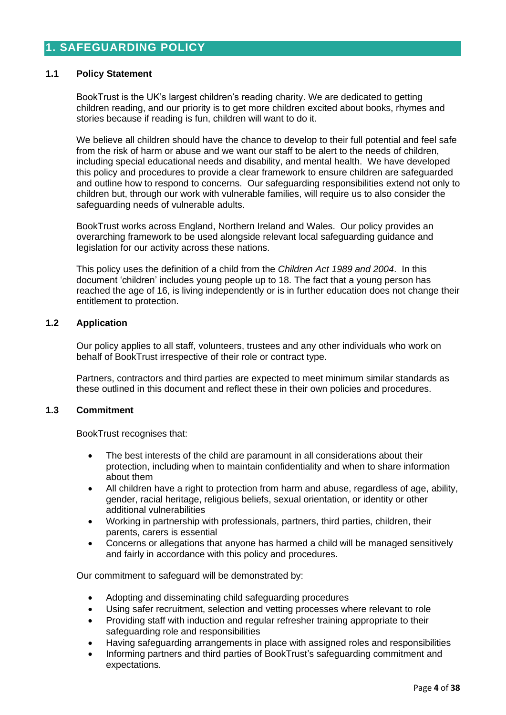#### **1.1 Policy Statement**

BookTrust is the UK's largest children's reading charity. We are dedicated to getting children reading, and our priority is to get more children excited about books, rhymes and stories because if reading is fun, children will want to do it.

We believe all children should have the chance to develop to their full potential and feel safe from the risk of harm or abuse and we want our staff to be alert to the needs of children, including special educational needs and disability, and mental health. We have developed this policy and procedures to provide a clear framework to ensure children are safeguarded and outline how to respond to concerns. Our safeguarding responsibilities extend not only to children but, through our work with vulnerable families, will require us to also consider the safeguarding needs of vulnerable adults.

BookTrust works across England, Northern Ireland and Wales. Our policy provides an overarching framework to be used alongside relevant local safeguarding guidance and legislation for our activity across these nations.

This policy uses the definition of a child from the *Children Act 1989 and 2004*. In this document 'children' includes young people up to 18. The fact that a young person has reached the age of 16, is living independently or is in further education does not change their entitlement to protection.

#### **1.2 Application**

Our policy applies to all staff, volunteers, trustees and any other individuals who work on behalf of BookTrust irrespective of their role or contract type.

Partners, contractors and third parties are expected to meet minimum similar standards as these outlined in this document and reflect these in their own policies and procedures.

#### **1.3 Commitment**

BookTrust recognises that:

- The best interests of the child are paramount in all considerations about their protection, including when to maintain confidentiality and when to share information about them
- All children have a right to protection from harm and abuse, regardless of age, ability, gender, racial heritage, religious beliefs, sexual orientation, or identity or other additional vulnerabilities
- Working in partnership with professionals, partners, third parties, children, their parents, carers is essential
- Concerns or allegations that anyone has harmed a child will be managed sensitively and fairly in accordance with this policy and procedures.

Our commitment to safeguard will be demonstrated by:

- Adopting and disseminating child safeguarding procedures
- Using safer recruitment, selection and vetting processes where relevant to role
- Providing staff with induction and regular refresher training appropriate to their safeguarding role and responsibilities
- Having safeguarding arrangements in place with assigned roles and responsibilities
- Informing partners and third parties of BookTrust's safeguarding commitment and expectations.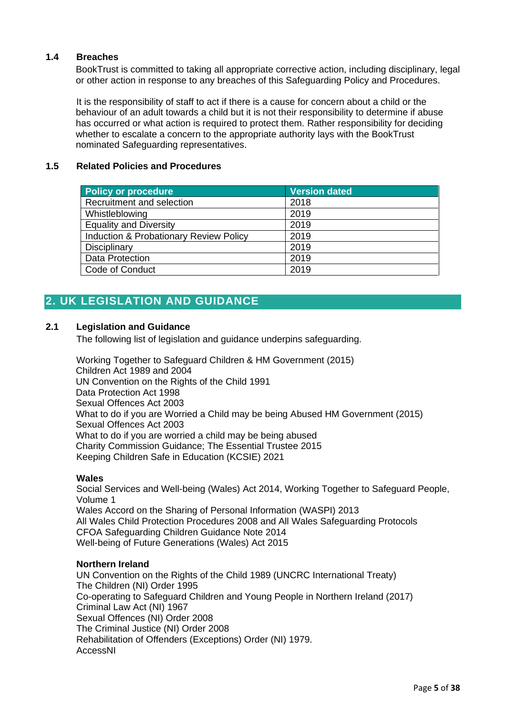#### **1.4 Breaches**

BookTrust is committed to taking all appropriate corrective action, including disciplinary, legal or other action in response to any breaches of this Safeguarding Policy and Procedures.

It is the responsibility of staff to act if there is a cause for concern about a child or the behaviour of an adult towards a child but it is not their responsibility to determine if abuse has occurred or what action is required to protect them. Rather responsibility for deciding whether to escalate a concern to the appropriate authority lays with the BookTrust nominated Safeguarding representatives.

#### **1.5 Related Policies and Procedures**

| <b>Policy or procedure</b>             | <b>Version dated</b> |
|----------------------------------------|----------------------|
| Recruitment and selection              | 2018                 |
| Whistleblowing                         | 2019                 |
| <b>Equality and Diversity</b>          | 2019                 |
| Induction & Probationary Review Policy | 2019                 |
| Disciplinary                           | 2019                 |
| <b>Data Protection</b>                 | 2019                 |
| Code of Conduct                        | 2019                 |

## **2. UK LEGISLATION AND GUIDANCE**

#### **2.1 Legislation and Guidance**

The following list of legislation and guidance underpins safeguarding.

Working Together to Safeguard Children & HM Government (2015) Children Act 1989 and 2004 UN Convention on the Rights of the Child 1991 Data Protection Act 1998 Sexual Offences Act 2003 What to do if you are Worried a Child may be being Abused HM Government (2015) Sexual Offences Act 2003 What to do if you are worried a child may be being abused Charity Commission Guidance; The Essential Trustee 2015 Keeping Children Safe in Education (KCSIE) 2021

#### **Wales**

Social Services and Well-being (Wales) Act 2014, Working Together to Safeguard People, Volume 1 Wales Accord on the Sharing of Personal Information (WASPI) 2013 All Wales Child Protection Procedures 2008 and All Wales Safeguarding Protocols CFOA Safeguarding Children Guidance Note 2014 Well-being of Future Generations (Wales) Act 2015

#### **Northern Ireland**

UN Convention on the Rights of the Child 1989 (UNCRC International Treaty) The Children (NI) Order 1995 Co-operating to Safeguard Children and Young People in Northern Ireland (2017) Criminal Law Act (NI) 1967 Sexual Offences (NI) Order 2008 The Criminal Justice (NI) Order 2008 Rehabilitation of Offenders (Exceptions) Order (NI) 1979. AccessNI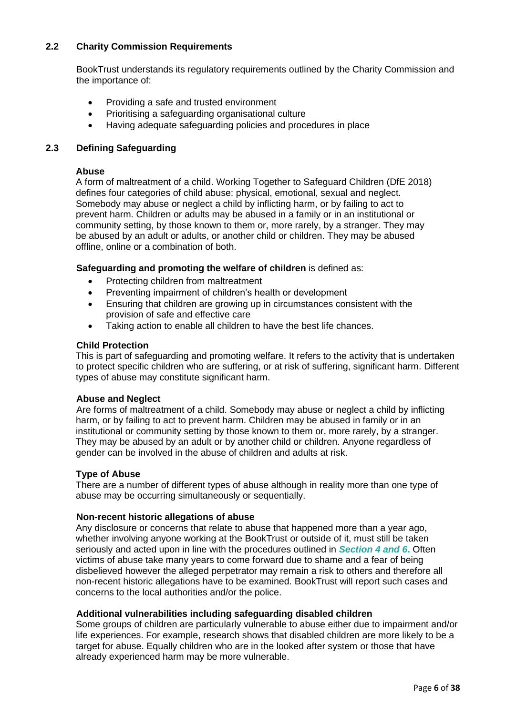#### **2.2 Charity Commission Requirements**

BookTrust understands its regulatory requirements outlined by the Charity Commission and the importance of:

- Providing a safe and trusted environment
- Prioritising a safeguarding organisational culture
- Having adequate safeguarding policies and procedures in place

#### **2.3 Defining Safeguarding**

#### **Abuse**

A form of maltreatment of a child. Working Together to Safeguard Children (DfE 2018) defines four categories of child abuse: physical, emotional, sexual and neglect. Somebody may abuse or neglect a child by inflicting harm, or by failing to act to prevent harm. Children or adults may be abused in a family or in an institutional or community setting, by those known to them or, more rarely, by a stranger. They may be abused by an adult or adults, or another child or children. They may be abused offline, online or a combination of both.

#### **Safeguarding and promoting the welfare of children** is defined as:

- Protecting children from maltreatment
- Preventing impairment of children's health or development
- Ensuring that children are growing up in circumstances consistent with the provision of safe and effective care
- Taking action to enable all children to have the best life chances.

#### **Child Protection**

This is part of safeguarding and promoting welfare. It refers to the activity that is undertaken to protect specific children who are suffering, or at risk of suffering, significant harm. Different types of abuse may constitute significant harm.

#### **Abuse and Neglect**

Are forms of maltreatment of a child. Somebody may abuse or neglect a child by inflicting harm, or by failing to act to prevent harm. Children may be abused in family or in an institutional or community setting by those known to them or, more rarely, by a stranger. They may be abused by an adult or by another child or children. Anyone regardless of gender can be involved in the abuse of children and adults at risk.

#### **Type of Abuse**

There are a number of different types of abuse although in reality more than one type of abuse may be occurring simultaneously or sequentially.

#### **Non-recent historic allegations of abuse**

Any disclosure or concerns that relate to abuse that happened more than a year ago, whether involving anyone working at the BookTrust or outside of it, must still be taken seriously and acted upon in line with the procedures outlined in *Section 4 and 6***.** Often victims of abuse take many years to come forward due to shame and a fear of being disbelieved however the alleged perpetrator may remain a risk to others and therefore all non-recent historic allegations have to be examined. BookTrust will report such cases and concerns to the local authorities and/or the police.

#### **Additional vulnerabilities including safeguarding disabled children**

Some groups of children are particularly vulnerable to abuse either due to impairment and/or life experiences. For example, research shows that disabled children are more likely to be a target for abuse. Equally children who are in the looked after system or those that have already experienced harm may be more vulnerable.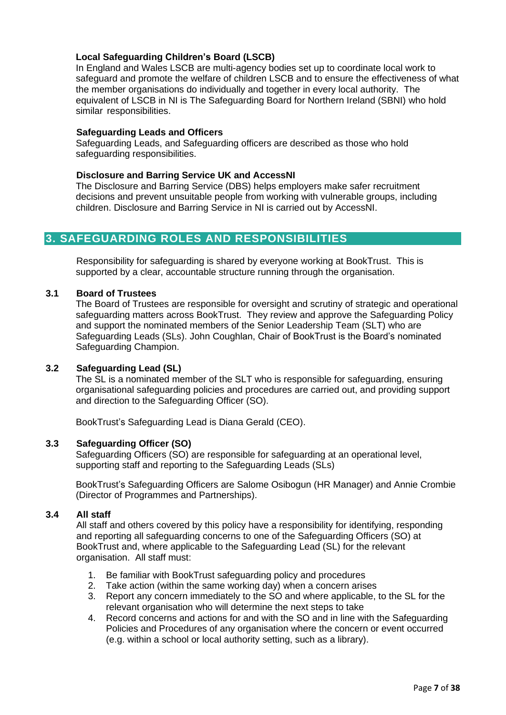#### **Local Safeguarding Children's Board (LSCB)**

In England and Wales LSCB are multi-agency bodies set up to coordinate local work to safeguard and promote the welfare of children LSCB and to ensure the effectiveness of what the member organisations do individually and together in every local authority. The equivalent of LSCB in NI is The Safeguarding Board for Northern Ireland (SBNI) who hold similar responsibilities.

#### **Safeguarding Leads and Officers**

Safeguarding Leads, and Safeguarding officers are described as those who hold safeguarding responsibilities.

#### **Disclosure and Barring Service UK and AccessNI**

The Disclosure and Barring Service (DBS) helps employers make safer recruitment decisions and prevent unsuitable people from working with vulnerable groups, including children. Disclosure and Barring Service in NI is carried out by AccessNI.

### **3. SAFEGUARDING ROLES AND RESPONSIBILITIES**

Responsibility for safeguarding is shared by everyone working at BookTrust. This is supported by a clear, accountable structure running through the organisation.

#### **3.1 Board of Trustees**

The Board of Trustees are responsible for oversight and scrutiny of strategic and operational safeguarding matters across BookTrust. They review and approve the Safeguarding Policy and support the nominated members of the Senior Leadership Team (SLT) who are Safeguarding Leads (SLs). John Coughlan, Chair of BookTrust is the Board's nominated Safeguarding Champion.

#### **3.2 Safeguarding Lead (SL)**

The SL is a nominated member of the SLT who is responsible for safeguarding, ensuring organisational safeguarding policies and procedures are carried out, and providing support and direction to the Safeguarding Officer (SO).

BookTrust's Safeguarding Lead is Diana Gerald (CEO).

#### **3.3 Safeguarding Officer (SO)**

Safeguarding Officers (SO) are responsible for safeguarding at an operational level, supporting staff and reporting to the Safeguarding Leads (SLs)

BookTrust's Safeguarding Officers are Salome Osibogun (HR Manager) and Annie Crombie (Director of Programmes and Partnerships).

#### **3.4 All staff**

All staff and others covered by this policy have a responsibility for identifying, responding and reporting all safeguarding concerns to one of the Safeguarding Officers (SO) at BookTrust and, where applicable to the Safeguarding Lead (SL) for the relevant organisation. All staff must:

- 1. Be familiar with BookTrust safeguarding policy and procedures
- 2. Take action (within the same working day) when a concern arises
- 3. Report any concern immediately to the SO and where applicable, to the SL for the relevant organisation who will determine the next steps to take
- 4. Record concerns and actions for and with the SO and in line with the Safeguarding Policies and Procedures of any organisation where the concern or event occurred (e.g. within a school or local authority setting, such as a library).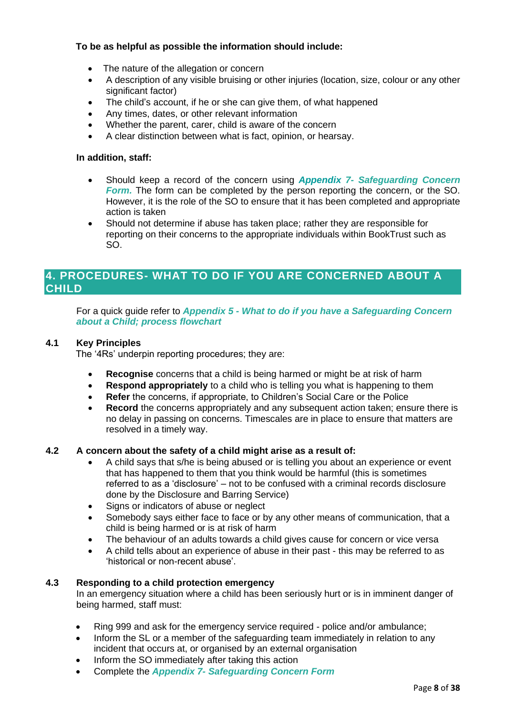#### **To be as helpful as possible the information should include:**

- The nature of the allegation or concern
- A description of any visible bruising or other injuries (location, size, colour or any other significant factor)
- The child's account, if he or she can give them, of what happened
- Any times, dates, or other relevant information
- Whether the parent, carer, child is aware of the concern
- A clear distinction between what is fact, opinion, or hearsay.

#### **In addition, staff:**

- Should keep a record of the concern using *Appendix 7- Safeguarding Concern Form.* The form can be completed by the person reporting the concern, or the SO. However, it is the role of the SO to ensure that it has been completed and appropriate action is taken
- Should not determine if abuse has taken place; rather they are responsible for reporting on their concerns to the appropriate individuals within BookTrust such as SO.

## **4. PROCEDURES- WHAT TO DO IF YOU ARE CONCERNED ABOUT A CHILD**

For a quick guide refer to *Appendix 5 - What to do if you have a Safeguarding Concern about a Child; process flowchart*

#### **4.1 Key Principles**

The '4Rs' underpin reporting procedures; they are:

- **Recognise** concerns that a child is being harmed or might be at risk of harm
- **Respond appropriately** to a child who is telling you what is happening to them
- **Refer** the concerns, if appropriate, to Children's Social Care or the Police
- **Record** the concerns appropriately and any subsequent action taken; ensure there is no delay in passing on concerns. Timescales are in place to ensure that matters are resolved in a timely way.

#### **4.2 A concern about the safety of a child might arise as a result of:**

- A child says that s/he is being abused or is telling you about an experience or event that has happened to them that you think would be harmful (this is sometimes referred to as a 'disclosure' – not to be confused with a criminal records disclosure done by the Disclosure and Barring Service)
- Signs or indicators of abuse or neglect
- Somebody says either face to face or by any other means of communication, that a child is being harmed or is at risk of harm
- The behaviour of an adults towards a child gives cause for concern or vice versa
- A child tells about an experience of abuse in their past this may be referred to as 'historical or non-recent abuse'.

#### **4.3 Responding to a child protection emergency**

In an emergency situation where a child has been seriously hurt or is in imminent danger of being harmed, staff must:

- Ring 999 and ask for the emergency service required police and/or ambulance;
- Inform the SL or a member of the safeguarding team immediately in relation to any incident that occurs at, or organised by an external organisation
- Inform the SO immediately after taking this action
- Complete the *Appendix 7- Safeguarding Concern Form*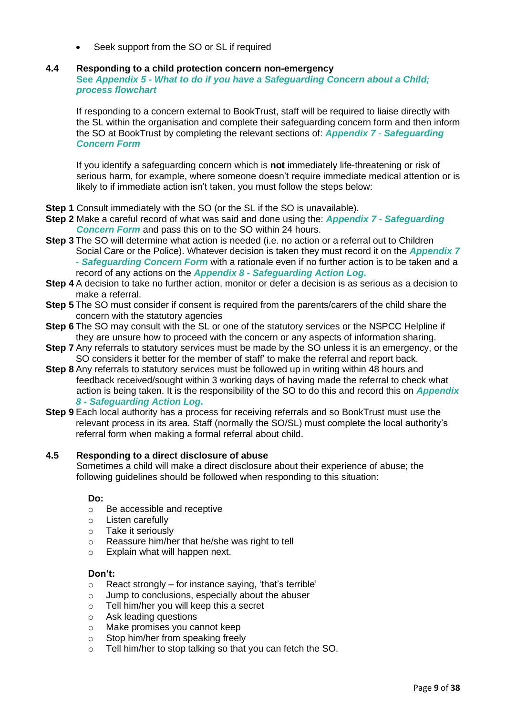Seek support from the SO or SL if required

#### **4.4 Responding to a child protection concern non-emergency**

**See** *Appendix 5 - What to do if you have a Safeguarding Concern about a Child; process flowchart*

If responding to a concern external to BookTrust, staff will be required to liaise directly with the SL within the organisation and complete their safeguarding concern form and then inform the SO at BookTrust by completing the relevant sections of: *Appendix 7* - *Safeguarding Concern Form*

If you identify a safeguarding concern which is **not** immediately life-threatening or risk of serious harm, for example, where someone doesn't require immediate medical attention or is likely to if immediate action isn't taken, you must follow the steps below:

- **Step 1** Consult immediately with the SO (or the SL if the SO is unavailable).
- **Step 2** Make a careful record of what was said and done using the: *Appendix 7 Safeguarding Concern Form* and pass this on to the SO within 24 hours.
- **Step 3** The SO will determine what action is needed (i.e. no action or a referral out to Children Social Care or the Police). Whatever decision is taken they must record it on the *Appendix 7* - *Safeguarding Concern Form* with a rationale even if no further action is to be taken and a record of any actions on the *Appendix 8 - Safeguarding Action Log***.**
- **Step 4** A decision to take no further action, monitor or defer a decision is as serious as a decision to make a referral.
- **Step 5** The SO must consider if consent is required from the parents/carers of the child share the concern with the statutory agencies
- **Step 6** The SO may consult with the SL or one of the statutory services or the NSPCC Helpline if they are unsure how to proceed with the concern or any aspects of information sharing.
- **Step 7** Any referrals to statutory services must be made by the SO unless it is an emergency, or the SO considers it better for the member of staff' to make the referral and report back.
- **Step 8** Any referrals to statutory services must be followed up in writing within 48 hours and feedback received/sought within 3 working days of having made the referral to check what action is being taken. It is the responsibility of the SO to do this and record this on *Appendix 8 - Safeguarding Action Log***.**
- **Step 9** Each local authority has a process for receiving referrals and so BookTrust must use the relevant process in its area. Staff (normally the SO/SL) must complete the local authority's referral form when making a formal referral about child.

#### **4.5 Responding to a direct disclosure of abuse**

Sometimes a child will make a direct disclosure about their experience of abuse; the following guidelines should be followed when responding to this situation:

#### **Do:**

- o Be accessible and receptive
- o Listen carefully
- o Take it seriously
- o Reassure him/her that he/she was right to tell
- o Explain what will happen next.

#### **Don't:**

- $\circ$  React strongly for instance saying, 'that's terrible'
- o Jump to conclusions, especially about the abuser
- o Tell him/her you will keep this a secret
- o Ask leading questions
- o Make promises you cannot keep
- $\circ$  Stop him/her from speaking freely
- o Tell him/her to stop talking so that you can fetch the SO.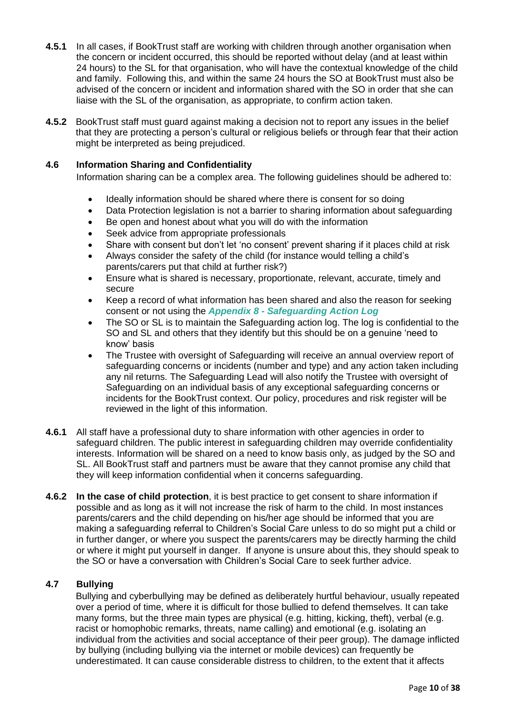- **4.5.1** In all cases, if BookTrust staff are working with children through another organisation when the concern or incident occurred, this should be reported without delay (and at least within 24 hours) to the SL for that organisation, who will have the contextual knowledge of the child and family. Following this, and within the same 24 hours the SO at BookTrust must also be advised of the concern or incident and information shared with the SO in order that she can liaise with the SL of the organisation, as appropriate, to confirm action taken.
- **4.5.2** BookTrust staff must guard against making a decision not to report any issues in the belief that they are protecting a person's cultural or religious beliefs or through fear that their action might be interpreted as being prejudiced.

#### **4.6 Information Sharing and Confidentiality**

Information sharing can be a complex area. The following guidelines should be adhered to:

- Ideally information should be shared where there is consent for so doing
- Data Protection legislation is not a barrier to sharing information about safeguarding
- Be open and honest about what you will do with the information
- Seek advice from appropriate professionals
- Share with consent but don't let 'no consent' prevent sharing if it places child at risk
- Always consider the safety of the child (for instance would telling a child's parents/carers put that child at further risk?)
- Ensure what is shared is necessary, proportionate, relevant, accurate, timely and secure
- Keep a record of what information has been shared and also the reason for seeking consent or not using the *Appendix 8 - Safeguarding Action Log*
- The SO or SL is to maintain the Safeguarding action log. The log is confidential to the SO and SL and others that they identify but this should be on a genuine 'need to know' basis
- The Trustee with oversight of Safeguarding will receive an annual overview report of safeguarding concerns or incidents (number and type) and any action taken including any nil returns. The Safeguarding Lead will also notify the Trustee with oversight of Safeguarding on an individual basis of any exceptional safeguarding concerns or incidents for the BookTrust context. Our policy, procedures and risk register will be reviewed in the light of this information.
- **4.6.1** All staff have a professional duty to share information with other agencies in order to safeguard children. The public interest in safeguarding children may override confidentiality interests. Information will be shared on a need to know basis only, as judged by the SO and SL. All BookTrust staff and partners must be aware that they cannot promise any child that they will keep information confidential when it concerns safeguarding.
- **4.6.2 In the case of child protection**, it is best practice to get consent to share information if possible and as long as it will not increase the risk of harm to the child. In most instances parents/carers and the child depending on his/her age should be informed that you are making a safeguarding referral to Children's Social Care unless to do so might put a child or in further danger, or where you suspect the parents/carers may be directly harming the child or where it might put yourself in danger. If anyone is unsure about this, they should speak to the SO or have a conversation with Children's Social Care to seek further advice.

#### **4.7 Bullying**

Bullying and cyberbullying may be defined as deliberately hurtful behaviour, usually repeated over a period of time, where it is difficult for those bullied to defend themselves. It can take many forms, but the three main types are physical (e.g. hitting, kicking, theft), verbal (e.g. racist or homophobic remarks, threats, name calling) and emotional (e.g. isolating an individual from the activities and social acceptance of their peer group). The damage inflicted by bullying (including bullying via the internet or mobile devices) can frequently be underestimated. It can cause considerable distress to children, to the extent that it affects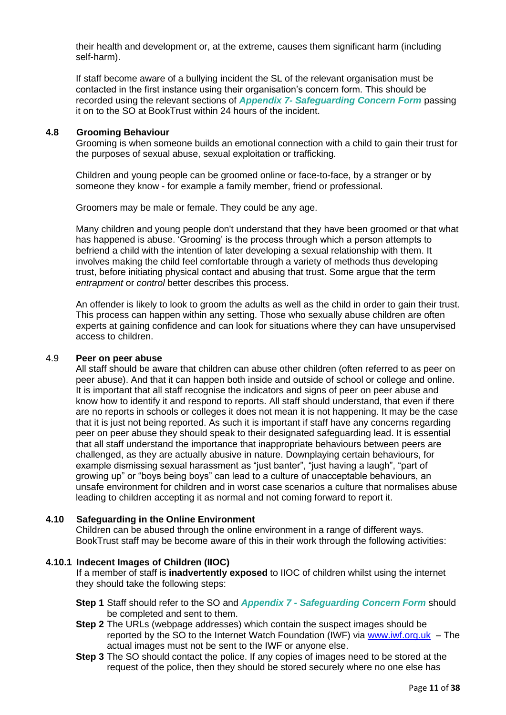their health and development or, at the extreme, causes them significant harm (including self-harm).

If staff become aware of a bullying incident the SL of the relevant organisation must be contacted in the first instance using their organisation's concern form. This should be recorded using the relevant sections of *Appendix 7- Safeguarding Concern Form* passing it on to the SO at BookTrust within 24 hours of the incident.

#### **4.8 Grooming Behaviour**

Grooming is when someone builds an emotional connection with a child to gain their trust for the purposes of sexual abuse, sexual exploitation or trafficking.

Children and young people can be groomed online or face-to-face, by a stranger or by someone they know - for example a family member, friend or professional.

Groomers may be male or female. They could be any age.

Many children and young people don't understand that they have been groomed or that what has happened is abuse. 'Grooming' is the process through which a person attempts to befriend a child with the intention of later developing a sexual relationship with them. It involves making the child feel comfortable through a variety of methods thus developing trust, before initiating physical contact and abusing that trust. Some argue that the term *entrapment* or *control* better describes this process.

An offender is likely to look to groom the adults as well as the child in order to gain their trust. This process can happen within any setting. Those who sexually abuse children are often experts at gaining confidence and can look for situations where they can have unsupervised access to children.

#### 4.9 **Peer on peer abuse**

All staff should be aware that children can abuse other children (often referred to as peer on peer abuse). And that it can happen both inside and outside of school or college and online. It is important that all staff recognise the indicators and signs of peer on peer abuse and know how to identify it and respond to reports. All staff should understand, that even if there are no reports in schools or colleges it does not mean it is not happening. It may be the case that it is just not being reported. As such it is important if staff have any concerns regarding peer on peer abuse they should speak to their designated safeguarding lead. It is essential that all staff understand the importance that inappropriate behaviours between peers are challenged, as they are actually abusive in nature. Downplaying certain behaviours, for example dismissing sexual harassment as "just banter", "just having a laugh", "part of growing up" or "boys being boys" can lead to a culture of unacceptable behaviours, an unsafe environment for children and in worst case scenarios a culture that normalises abuse leading to children accepting it as normal and not coming forward to report it.

#### **4.10 Safeguarding in the Online Environment**

Children can be abused through the online environment in a range of different ways. BookTrust staff may be become aware of this in their work through the following activities:

#### **4.10.1 Indecent Images of Children (IIOC)**

If a member of staff is **inadvertently exposed** to IIOC of children whilst using the internet they should take the following steps:

- **Step 1** Staff should refer to the SO and *Appendix 7 - Safeguarding Concern Form* should be completed and sent to them.
- **Step 2** The URLs (webpage addresses) which contain the suspect images should be reported by the SO to the Internet Watch Foundation (IWF) via [www.iwf.org.uk](http://www.iwf.org.uk/) – The actual images must not be sent to the IWF or anyone else.
- **Step 3** The SO should contact the police. If any copies of images need to be stored at the request of the police, then they should be stored securely where no one else has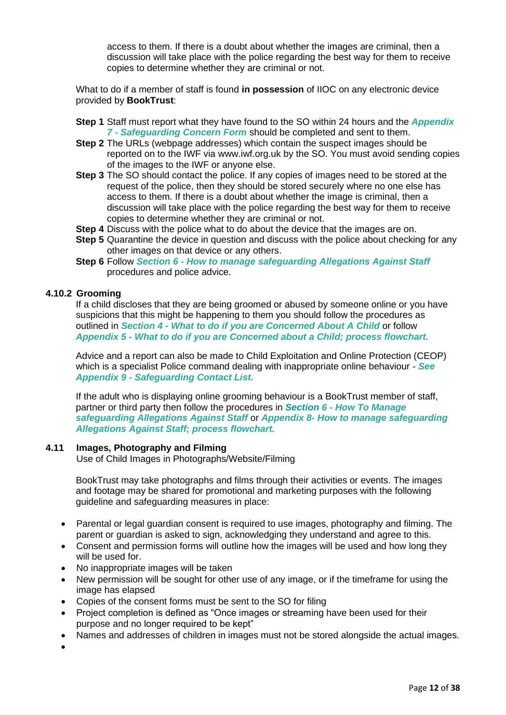access to them. If there is a doubt about whether the images are criminal, then a discussion will take place with the police regarding the best way for them to receive copies to determine whether they are criminal or not.

What to do if a member of staff is found **in possession** of IIOC on any electronic device provided by **BookTrust**:

- **Step 1** Staff must report what they have found to the SO within 24 hours and the *Appendix 7 - Safeguarding Concern Form* should be completed and sent to them.
- **Step 2** The URLs (webpage addresses) which contain the suspect images should be reported on to the IWF via www.iwf.org.uk by the SO. You must avoid sending copies of the images to the IWF or anyone else.
- **Step 3** The SO should contact the police. If any copies of images need to be stored at the request of the police, then they should be stored securely where no one else has access to them. If there is a doubt about whether the image is criminal, then a discussion will take place with the police regarding the best way for them to receive copies to determine whether they are criminal or not.
- **Step 4** Discuss with the police what to do about the device that the images are on.
- **Step 5** Quarantine the device in question and discuss with the police about checking for any other images on that device or any others.
- **Step 6** Follow *Section 6 - How to manage safeguarding Allegations Against Staff* procedures and police advice.

#### **4.10.2 Grooming**

If a child discloses that they are being groomed or abused by someone online or you have suspicions that this might be happening to them you should follow the procedures as outlined in *Section 4 - What to do if you are Concerned About A Child* or follow *Appendix 5 - What to do if you are Concerned about a Child; process flowchart.* 

Advice and a report can also be made to Child Exploitation and Online Protection (CEOP) which is a specialist Police command dealing with inappropriate online behaviour - *See Appendix 9 - Safeguarding Contact List.*

If the adult who is displaying online grooming behaviour is a BookTrust member of staff, partner or third party then follow the procedures in *Section 6 - How To Manage safeguarding Allegations Against Staff* or *Appendix 8***-** *How to manage safeguarding Allegations Against Staff; process flowchart.*

#### **4.11 Images, Photography and Filming**

Use of Child Images in Photographs/Website/Filming

BookTrust may take photographs and films through their activities or events. The images and footage may be shared for promotional and marketing purposes with the following guideline and safeguarding measures in place:

- Parental or legal guardian consent is required to use images, photography and filming. The parent or guardian is asked to sign, acknowledging they understand and agree to this.
- Consent and permission forms will outline how the images will be used and how long they will be used for.
- No inappropriate images will be taken
- New permission will be sought for other use of any image, or if the timeframe for using the image has elapsed
- Copies of the consent forms must be sent to the SO for filing
- Project completion is defined as "Once images or streaming have been used for their purpose and no longer required to be kept"
- Names and addresses of children in images must not be stored alongside the actual images.
- •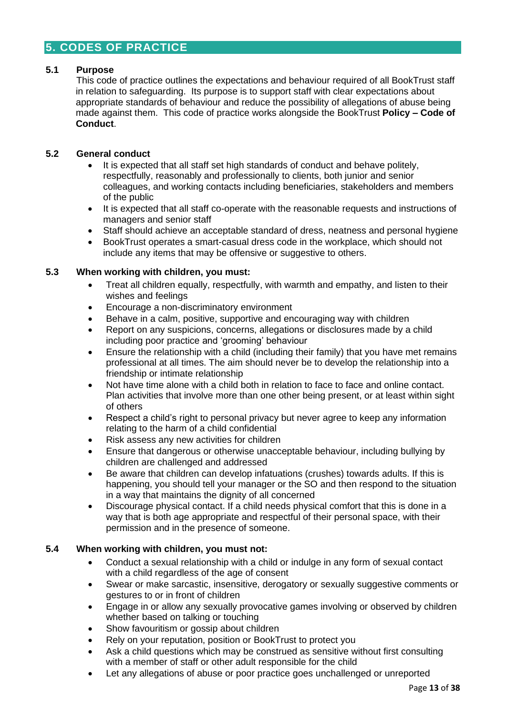## **5. CODES OF PRACTICE**

#### **5.1 Purpose**

This code of practice outlines the expectations and behaviour required of all BookTrust staff in relation to safeguarding. Its purpose is to support staff with clear expectations about appropriate standards of behaviour and reduce the possibility of allegations of abuse being made against them. This code of practice works alongside the BookTrust **Policy – Code of Conduct**.

#### **5.2 General conduct**

- It is expected that all staff set high standards of conduct and behave politely, respectfully, reasonably and professionally to clients, both junior and senior colleagues, and working contacts including beneficiaries, stakeholders and members of the public
- It is expected that all staff co-operate with the reasonable requests and instructions of managers and senior staff
- Staff should achieve an acceptable standard of dress, neatness and personal hygiene
- BookTrust operates a smart-casual dress code in the workplace, which should not include any items that may be offensive or suggestive to others.

#### **5.3 When working with children, you must:**

- Treat all children equally, respectfully, with warmth and empathy, and listen to their wishes and feelings
- Encourage a non-discriminatory environment
- Behave in a calm, positive, supportive and encouraging way with children
- Report on any suspicions, concerns, allegations or disclosures made by a child including poor practice and 'grooming' behaviour
- Ensure the relationship with a child (including their family) that you have met remains professional at all times. The aim should never be to develop the relationship into a friendship or intimate relationship
- Not have time alone with a child both in relation to face to face and online contact. Plan activities that involve more than one other being present, or at least within sight of others
- Respect a child's right to personal privacy but never agree to keep any information relating to the harm of a child confidential
- Risk assess any new activities for children
- Ensure that dangerous or otherwise unacceptable behaviour, including bullying by children are challenged and addressed
- Be aware that children can develop infatuations (crushes) towards adults. If this is happening, you should tell your manager or the SO and then respond to the situation in a way that maintains the dignity of all concerned
- Discourage physical contact. If a child needs physical comfort that this is done in a way that is both age appropriate and respectful of their personal space, with their permission and in the presence of someone.

#### **5.4 When working with children, you must not:**

- Conduct a sexual relationship with a child or indulge in any form of sexual contact with a child regardless of the age of consent
- Swear or make sarcastic, insensitive, derogatory or sexually suggestive comments or gestures to or in front of children
- Engage in or allow any sexually provocative games involving or observed by children whether based on talking or touching
- Show favouritism or gossip about children
- Rely on your reputation, position or BookTrust to protect you
- Ask a child questions which may be construed as sensitive without first consulting with a member of staff or other adult responsible for the child
- Let any allegations of abuse or poor practice goes unchallenged or unreported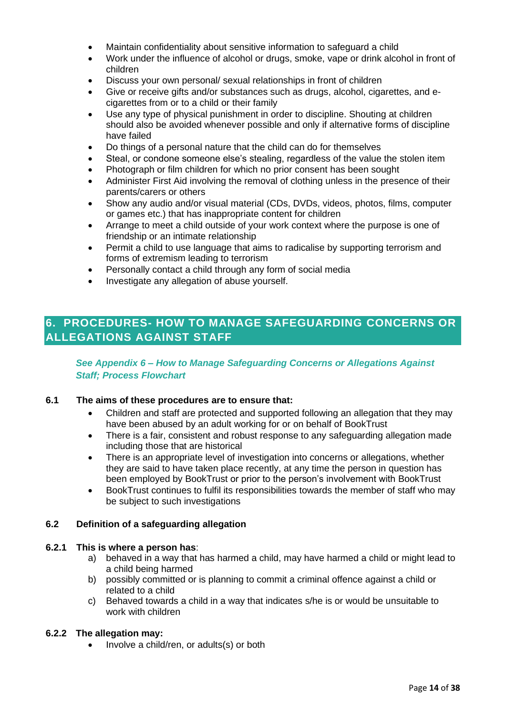- Maintain confidentiality about sensitive information to safeguard a child
- Work under the influence of alcohol or drugs, smoke, vape or drink alcohol in front of children
- Discuss your own personal/ sexual relationships in front of children
- Give or receive gifts and/or substances such as drugs, alcohol, cigarettes, and ecigarettes from or to a child or their family
- Use any type of physical punishment in order to discipline. Shouting at children should also be avoided whenever possible and only if alternative forms of discipline have failed
- Do things of a personal nature that the child can do for themselves
- Steal, or condone someone else's stealing, regardless of the value the stolen item
- Photograph or film children for which no prior consent has been sought
- Administer First Aid involving the removal of clothing unless in the presence of their parents/carers or others
- Show any audio and/or visual material (CDs, DVDs, videos, photos, films, computer or games etc.) that has inappropriate content for children
- Arrange to meet a child outside of your work context where the purpose is one of friendship or an intimate relationship
- Permit a child to use language that aims to radicalise by supporting terrorism and forms of extremism leading to terrorism
- Personally contact a child through any form of social media
- Investigate any allegation of abuse yourself.

## **6. PROCEDURES- HOW TO MANAGE SAFEGUARDING CONCERNS OR ALLEGATIONS AGAINST STAFF**

#### *See Appendix 6 – How to Manage Safeguarding Concerns or Allegations Against Staff; Process Flowchart*

#### **6.1 The aims of these procedures are to ensure that:**

- Children and staff are protected and supported following an allegation that they may have been abused by an adult working for or on behalf of BookTrust
- There is a fair, consistent and robust response to any safeguarding allegation made including those that are historical
- There is an appropriate level of investigation into concerns or allegations, whether they are said to have taken place recently, at any time the person in question has been employed by BookTrust or prior to the person's involvement with BookTrust
- BookTrust continues to fulfil its responsibilities towards the member of staff who may be subject to such investigations

#### **6.2 Definition of a safeguarding allegation**

#### **6.2.1 This is where a person has**:

- a) behaved in a way that has harmed a child, may have harmed a child or might lead to a child being harmed
- b) possibly committed or is planning to commit a criminal offence against a child or related to a child
- c) Behaved towards a child in a way that indicates s/he is or would be unsuitable to work with children

### **6.2.2 The allegation may:**

• Involve a child/ren, or adults(s) or both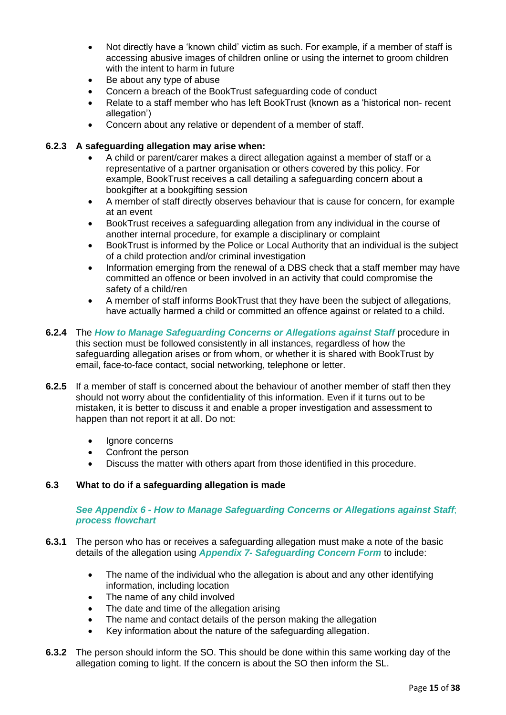- Not directly have a 'known child' victim as such. For example, if a member of staff is accessing abusive images of children online or using the internet to groom children with the intent to harm in future
- Be about any type of abuse
- Concern a breach of the BookTrust safeguarding code of conduct
- Relate to a staff member who has left BookTrust (known as a 'historical non- recent allegation')
- Concern about any relative or dependent of a member of staff.

#### **6.2.3 A safeguarding allegation may arise when:**

- A child or parent/carer makes a direct allegation against a member of staff or a representative of a partner organisation or others covered by this policy. For example, BookTrust receives a call detailing a safeguarding concern about a bookgifter at a bookgifting session
- A member of staff directly observes behaviour that is cause for concern, for example at an event
- BookTrust receives a safeguarding allegation from any individual in the course of another internal procedure, for example a disciplinary or complaint
- BookTrust is informed by the Police or Local Authority that an individual is the subject of a child protection and/or criminal investigation
- Information emerging from the renewal of a DBS check that a staff member may have committed an offence or been involved in an activity that could compromise the safety of a child/ren
- A member of staff informs BookTrust that they have been the subject of allegations, have actually harmed a child or committed an offence against or related to a child.
- **6.2.4** The *How to Manage Safeguarding Concerns or Allegations against Staff* procedure in this section must be followed consistently in all instances, regardless of how the safeguarding allegation arises or from whom, or whether it is shared with BookTrust by email, face-to-face contact, social networking, telephone or letter.
- **6.2.5** If a member of staff is concerned about the behaviour of another member of staff then they should not worry about the confidentiality of this information. Even if it turns out to be mistaken, it is better to discuss it and enable a proper investigation and assessment to happen than not report it at all. Do not:
	- lanore concerns
	- Confront the person
	- Discuss the matter with others apart from those identified in this procedure.

### **6.3 What to do if a safeguarding allegation is made**

#### *See Appendix 6 - How to Manage Safeguarding Concerns or Allegations against Staff*; *process flowchart*

- **6.3.1** The person who has or receives a safeguarding allegation must make a note of the basic details of the allegation using *Appendix 7- Safeguarding Concern Form* to include:
	- The name of the individual who the allegation is about and any other identifying information, including location
	- The name of any child involved
	- The date and time of the allegation arising
	- The name and contact details of the person making the allegation
	- Key information about the nature of the safeguarding allegation.
- **6.3.2** The person should inform the SO. This should be done within this same working day of the allegation coming to light. If the concern is about the SO then inform the SL.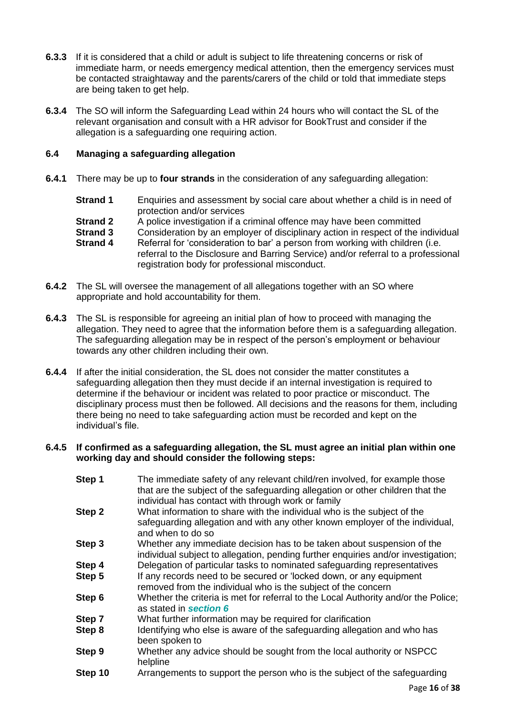- **6.3.3** If it is considered that a child or adult is subject to life threatening concerns or risk of immediate harm, or needs emergency medical attention, then the emergency services must be contacted straightaway and the parents/carers of the child or told that immediate steps are being taken to get help.
- **6.3.4** The SO will inform the Safeguarding Lead within 24 hours who will contact the SL of the relevant organisation and consult with a HR advisor for BookTrust and consider if the allegation is a safeguarding one requiring action.

#### **6.4 Managing a safeguarding allegation**

- **6.4.1** There may be up to **four strands** in the consideration of any safeguarding allegation:
	- **Strand 1** Enquiries and assessment by social care about whether a child is in need of protection and/or services
	- **Strand 2** A police investigation if a criminal offence may have been committed
	- **Strand 3** Consideration by an employer of disciplinary action in respect of the individual
	- **Strand 4** Referral for 'consideration to bar' a person from working with children (i.e. referral to the Disclosure and Barring Service) and/or referral to a professional registration body for professional misconduct.
- **6.4.2** The SL will oversee the management of all allegations together with an SO where appropriate and hold accountability for them.
- **6.4.3** The SL is responsible for agreeing an initial plan of how to proceed with managing the allegation. They need to agree that the information before them is a safeguarding allegation. The safeguarding allegation may be in respect of the person's employment or behaviour towards any other children including their own.
- **6.4.4** If after the initial consideration, the SL does not consider the matter constitutes a safeguarding allegation then they must decide if an internal investigation is required to determine if the behaviour or incident was related to poor practice or misconduct. The disciplinary process must then be followed. All decisions and the reasons for them, including there being no need to take safeguarding action must be recorded and kept on the individual's file.

#### **6.4.5 If confirmed as a safeguarding allegation, the SL must agree an initial plan within one working day and should consider the following steps:**

| Step 1  | The immediate safety of any relevant child/ren involved, for example those<br>that are the subject of the safeguarding allegation or other children that the<br>individual has contact with through work or family |
|---------|--------------------------------------------------------------------------------------------------------------------------------------------------------------------------------------------------------------------|
| Step 2  | What information to share with the individual who is the subject of the<br>safeguarding allegation and with any other known employer of the individual,<br>and when to do so                                       |
| Step 3  | Whether any immediate decision has to be taken about suspension of the<br>individual subject to allegation, pending further enquiries and/or investigation;                                                        |
| Step 4  | Delegation of particular tasks to nominated safeguarding representatives                                                                                                                                           |
| Step 5  | If any records need to be secured or 'locked down, or any equipment<br>removed from the individual who is the subject of the concern                                                                               |
| Step 6  | Whether the criteria is met for referral to the Local Authority and/or the Police;<br>as stated in section 6                                                                                                       |
| Step 7  | What further information may be required for clarification                                                                                                                                                         |
| Step 8  | Identifying who else is aware of the safeguarding allegation and who has<br>been spoken to                                                                                                                         |
| Step 9  | Whether any advice should be sought from the local authority or NSPCC<br>helpline                                                                                                                                  |
| Step 10 | Arrangements to support the person who is the subject of the safeguarding                                                                                                                                          |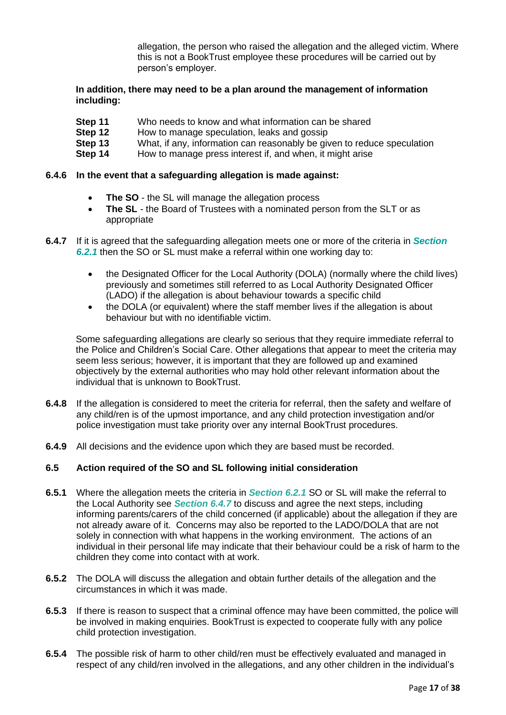allegation, the person who raised the allegation and the alleged victim. Where this is not a BookTrust employee these procedures will be carried out by person's employer.

#### **In addition, there may need to be a plan around the management of information including:**

- **Step 11** Who needs to know and what information can be shared
- **Step 12** How to manage speculation, leaks and gossip
- **Step 13** What, if any, information can reasonably be given to reduce speculation
- **Step 14** How to manage press interest if, and when, it might arise

#### **6.4.6 In the event that a safeguarding allegation is made against:**

- **The SO** the SL will manage the allegation process
- **The SL** the Board of Trustees with a nominated person from the SLT or as appropriate
- **6.4.7** If it is agreed that the safeguarding allegation meets one or more of the criteria in *Section 6.2.1* then the SO or SL must make a referral within one working day to:
	- the Designated Officer for the Local Authority (DOLA) (normally where the child lives) previously and sometimes still referred to as Local Authority Designated Officer (LADO) if the allegation is about behaviour towards a specific child
	- the DOLA (or equivalent) where the staff member lives if the allegation is about behaviour but with no identifiable victim.

Some safeguarding allegations are clearly so serious that they require immediate referral to the Police and Children's Social Care. Other allegations that appear to meet the criteria may seem less serious; however, it is important that they are followed up and examined objectively by the external authorities who may hold other relevant information about the individual that is unknown to BookTrust.

- **6.4.8** If the allegation is considered to meet the criteria for referral, then the safety and welfare of any child/ren is of the upmost importance, and any child protection investigation and/or police investigation must take priority over any internal BookTrust procedures.
- **6.4.9** All decisions and the evidence upon which they are based must be recorded.

#### **6.5 Action required of the SO and SL following initial consideration**

- **6.5.1** Where the allegation meets the criteria in *Section 6.2.1* SO or SL will make the referral to the Local Authority see *Section 6.4.7* to discuss and agree the next steps, including informing parents/carers of the child concerned (if applicable) about the allegation if they are not already aware of it. Concerns may also be reported to the LADO/DOLA that are not solely in connection with what happens in the working environment. The actions of an individual in their personal life may indicate that their behaviour could be a risk of harm to the children they come into contact with at work.
- **6.5.2** The DOLA will discuss the allegation and obtain further details of the allegation and the circumstances in which it was made.
- **6.5.3** If there is reason to suspect that a criminal offence may have been committed, the police will be involved in making enquiries. BookTrust is expected to cooperate fully with any police child protection investigation.
- **6.5.4** The possible risk of harm to other child/ren must be effectively evaluated and managed in respect of any child/ren involved in the allegations, and any other children in the individual's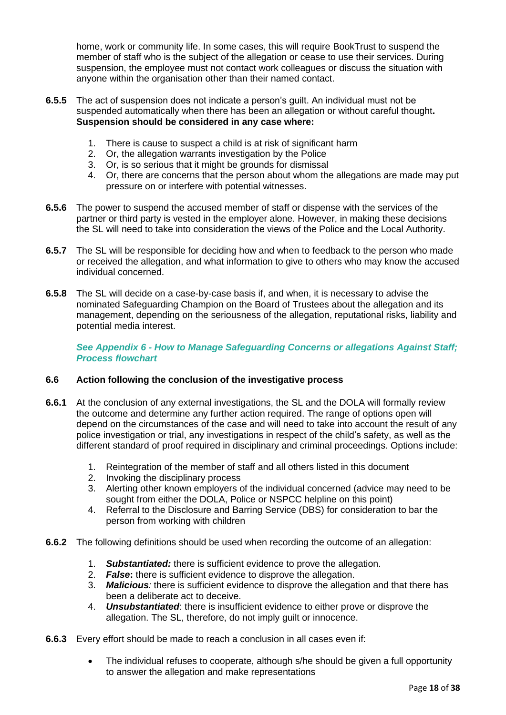home, work or community life. In some cases, this will require BookTrust to suspend the member of staff who is the subject of the allegation or cease to use their services. During suspension, the employee must not contact work colleagues or discuss the situation with anyone within the organisation other than their named contact.

- **6.5.5** The act of suspension does not indicate a person's guilt. An individual must not be suspended automatically when there has been an allegation or without careful thought**. Suspension should be considered in any case where:**
	- 1. There is cause to suspect a child is at risk of significant harm
	- 2. Or, the allegation warrants investigation by the Police
	- 3. Or, is so serious that it might be grounds for dismissal
	- 4. Or, there are concerns that the person about whom the allegations are made may put pressure on or interfere with potential witnesses.
- **6.5.6** The power to suspend the accused member of staff or dispense with the services of the partner or third party is vested in the employer alone. However, in making these decisions the SL will need to take into consideration the views of the Police and the Local Authority.
- **6.5.7** The SL will be responsible for deciding how and when to feedback to the person who made or received the allegation, and what information to give to others who may know the accused individual concerned.
- **6.5.8** The SL will decide on a case-by-case basis if, and when, it is necessary to advise the nominated Safeguarding Champion on the Board of Trustees about the allegation and its management, depending on the seriousness of the allegation, reputational risks, liability and potential media interest.

*See Appendix 6 - How to Manage Safeguarding Concerns or allegations Against Staff; Process flowchart* 

#### **6.6 Action following the conclusion of the investigative process**

- **6.6.1** At the conclusion of any external investigations, the SL and the DOLA will formally review the outcome and determine any further action required. The range of options open will depend on the circumstances of the case and will need to take into account the result of any police investigation or trial, any investigations in respect of the child's safety, as well as the different standard of proof required in disciplinary and criminal proceedings. Options include:
	- 1. Reintegration of the member of staff and all others listed in this document
	- 2. Invoking the disciplinary process
	- 3. Alerting other known employers of the individual concerned (advice may need to be sought from either the DOLA, Police or NSPCC helpline on this point)
	- 4. Referral to the Disclosure and Barring Service (DBS) for consideration to bar the person from working with children
- **6.6.2** The following definitions should be used when recording the outcome of an allegation:
	- 1. *Substantiated:* there is sufficient evidence to prove the allegation.
	- 2. *False***:** there is sufficient evidence to disprove the allegation.
	- 3. *Malicious:* there is sufficient evidence to disprove the allegation and that there has been a deliberate act to deceive.
	- 4. *Unsubstantiated*: there is insufficient evidence to either prove or disprove the allegation. The SL, therefore, do not imply guilt or innocence.
- **6.6.3** Every effort should be made to reach a conclusion in all cases even if:
	- The individual refuses to cooperate, although s/he should be given a full opportunity to answer the allegation and make representations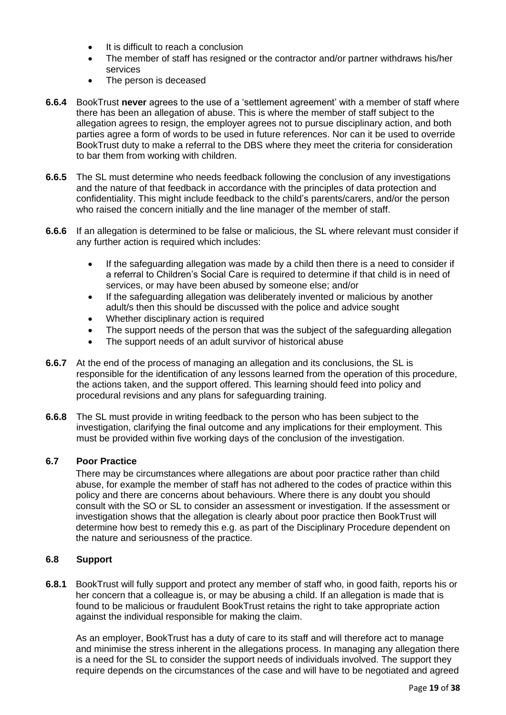- It is difficult to reach a conclusion
- The member of staff has resigned or the contractor and/or partner withdraws his/her services
- The person is deceased
- **6.6.4** BookTrust **never** agrees to the use of a 'settlement agreement' with a member of staff where there has been an allegation of abuse. This is where the member of staff subject to the allegation agrees to resign, the employer agrees not to pursue disciplinary action, and both parties agree a form of words to be used in future references. Nor can it be used to override BookTrust duty to make a referral to the DBS where they meet the criteria for consideration to bar them from working with children.
- **6.6.5** The SL must determine who needs feedback following the conclusion of any investigations and the nature of that feedback in accordance with the principles of data protection and confidentiality. This might include feedback to the child's parents/carers, and/or the person who raised the concern initially and the line manager of the member of staff.
- **6.6.6** If an allegation is determined to be false or malicious, the SL where relevant must consider if any further action is required which includes:
	- If the safeguarding allegation was made by a child then there is a need to consider if a referral to Children's Social Care is required to determine if that child is in need of services, or may have been abused by someone else; and/or
	- If the safeguarding allegation was deliberately invented or malicious by another adult/s then this should be discussed with the police and advice sought
	- Whether disciplinary action is required
	- The support needs of the person that was the subject of the safeguarding allegation
	- The support needs of an adult survivor of historical abuse
- **6.6.7** At the end of the process of managing an allegation and its conclusions, the SL is responsible for the identification of any lessons learned from the operation of this procedure, the actions taken, and the support offered. This learning should feed into policy and procedural revisions and any plans for safeguarding training.
- **6.6.8** The SL must provide in writing feedback to the person who has been subject to the investigation, clarifying the final outcome and any implications for their employment. This must be provided within five working days of the conclusion of the investigation.

#### **6.7 Poor Practice**

There may be circumstances where allegations are about poor practice rather than child abuse, for example the member of staff has not adhered to the codes of practice within this policy and there are concerns about behaviours. Where there is any doubt you should consult with the SO or SL to consider an assessment or investigation. If the assessment or investigation shows that the allegation is clearly about poor practice then BookTrust will determine how best to remedy this e.g. as part of the Disciplinary Procedure dependent on the nature and seriousness of the practice.

#### **6.8 Support**

**6.8.1** BookTrust will fully support and protect any member of staff who, in good faith, reports his or her concern that a colleague is, or may be abusing a child. If an allegation is made that is found to be malicious or fraudulent BookTrust retains the right to take appropriate action against the individual responsible for making the claim.

As an employer, BookTrust has a duty of care to its staff and will therefore act to manage and minimise the stress inherent in the allegations process. In managing any allegation there is a need for the SL to consider the support needs of individuals involved. The support they require depends on the circumstances of the case and will have to be negotiated and agreed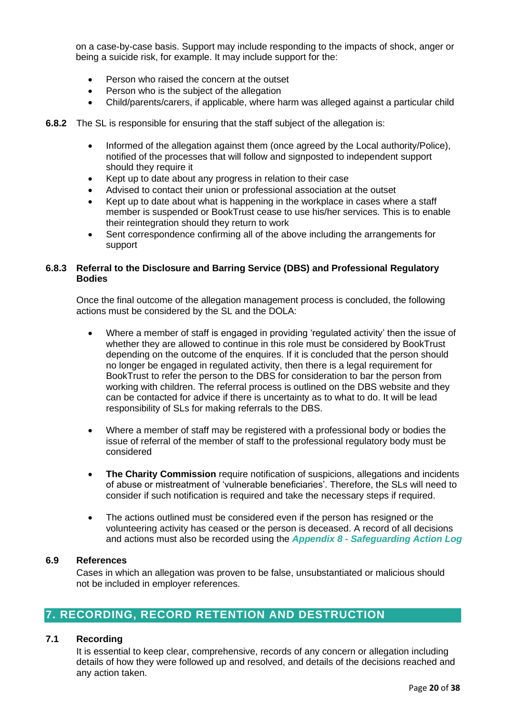on a case-by-case basis. Support may include responding to the impacts of shock, anger or being a suicide risk, for example. It may include support for the:

- Person who raised the concern at the outset
- Person who is the subiect of the allegation
- Child/parents/carers, if applicable, where harm was alleged against a particular child
- **6.8.2** The SL is responsible for ensuring that the staff subject of the allegation is:
	- Informed of the allegation against them (once agreed by the Local authority/Police), notified of the processes that will follow and signposted to independent support should they require it
	- Kept up to date about any progress in relation to their case
	- Advised to contact their union or professional association at the outset
	- Kept up to date about what is happening in the workplace in cases where a staff member is suspended or BookTrust cease to use his/her services. This is to enable their reintegration should they return to work
	- Sent correspondence confirming all of the above including the arrangements for support

#### **6.8.3 Referral to the Disclosure and Barring Service (DBS) and Professional Regulatory Bodies**

Once the final outcome of the allegation management process is concluded, the following actions must be considered by the SL and the DOLA:

- Where a member of staff is engaged in providing 'regulated activity' then the issue of whether they are allowed to continue in this role must be considered by BookTrust depending on the outcome of the enquires. If it is concluded that the person should no longer be engaged in regulated activity, then there is a legal requirement for BookTrust to refer the person to the DBS for consideration to bar the person from working with children. The referral process is outlined on the DBS website and they can be contacted for advice if there is uncertainty as to what to do. It will be lead responsibility of SLs for making referrals to the DBS.
- Where a member of staff may be registered with a professional body or bodies the issue of referral of the member of staff to the professional regulatory body must be considered
- **The Charity Commission** require notification of suspicions, allegations and incidents of abuse or mistreatment of 'vulnerable beneficiaries'. Therefore, the SLs will need to consider if such notification is required and take the necessary steps if required.
- The actions outlined must be considered even if the person has resigned or the volunteering activity has ceased or the person is deceased. A record of all decisions and actions must also be recorded using the *Appendix 8 - Safeguarding Action Log*

#### **6.9 References**

Cases in which an allegation was proven to be false, unsubstantiated or malicious should not be included in employer references.

## **7. RECORDING, RECORD RETENTION AND DESTRUCTION**

#### **7.1 Recording**

It is essential to keep clear, comprehensive, records of any concern or allegation including details of how they were followed up and resolved, and details of the decisions reached and any action taken.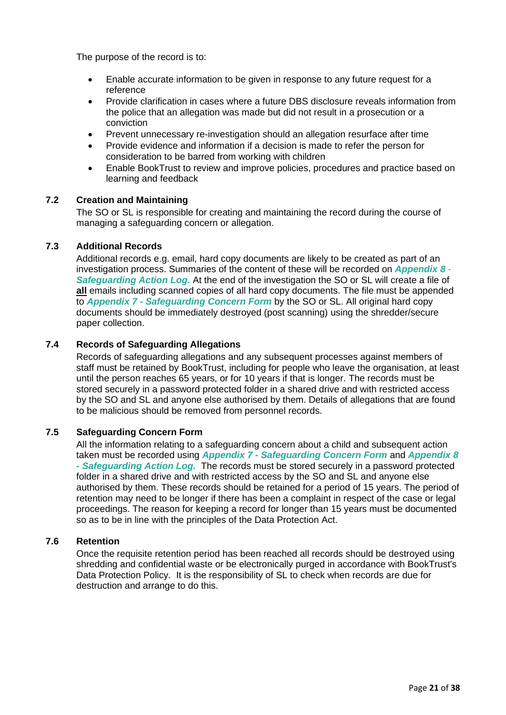The purpose of the record is to:

- Enable accurate information to be given in response to any future request for a reference
- Provide clarification in cases where a future DBS disclosure reveals information from the police that an allegation was made but did not result in a prosecution or a conviction
- Prevent unnecessary re-investigation should an allegation resurface after time
- Provide evidence and information if a decision is made to refer the person for consideration to be barred from working with children
- Enable BookTrust to review and improve policies, procedures and practice based on learning and feedback

#### **7.2 Creation and Maintaining**

The SO or SL is responsible for creating and maintaining the record during the course of managing a safeguarding concern or allegation.

#### **7.3 Additional Records**

Additional records e.g. email, hard copy documents are likely to be created as part of an investigation process. Summaries of the content of these will be recorded on *Appendix 8* - *Safeguarding Action Log.* At the end of the investigation the SO or SL will create a file of **all** emails including scanned copies of all hard copy documents. The file must be appended to *Appendix 7* **-** *Safeguarding Concern Form* by the SO or SL. All original hard copy documents should be immediately destroyed (post scanning) using the shredder/secure paper collection.

#### **7.4 Records of Safeguarding Allegations**

Records of safeguarding allegations and any subsequent processes against members of staff must be retained by BookTrust, including for people who leave the organisation, at least until the person reaches 65 years, or for 10 years if that is longer. The records must be stored securely in a password protected folder in a shared drive and with restricted access by the SO and SL and anyone else authorised by them. Details of allegations that are found to be malicious should be removed from personnel records.

#### **7.5 Safeguarding Concern Form**

All the information relating to a safeguarding concern about a child and subsequent action taken must be recorded using *Appendix 7 - Safeguarding Concern Form* and *Appendix 8 - Safeguarding Action Log.* The records must be stored securely in a password protected folder in a shared drive and with restricted access by the SO and SL and anyone else authorised by them. These records should be retained for a period of 15 years. The period of retention may need to be longer if there has been a complaint in respect of the case or legal proceedings. The reason for keeping a record for longer than 15 years must be documented so as to be in line with the principles of the Data Protection Act.

#### **7.6 Retention**

Once the requisite retention period has been reached all records should be destroyed using shredding and confidential waste or be electronically purged in accordance with BookTrust's Data Protection Policy. It is the responsibility of SL to check when records are due for destruction and arrange to do this.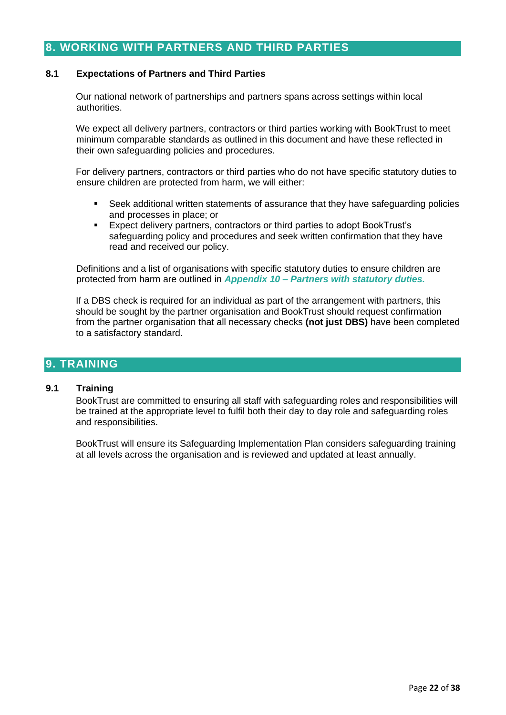## **8. WORKING WITH PARTNERS AND THIRD PARTIES**

#### **8.1 Expectations of Partners and Third Parties**

Our national network of partnerships and partners spans across settings within local authorities.

We expect all delivery partners, contractors or third parties working with BookTrust to meet minimum comparable standards as outlined in this document and have these reflected in their own safeguarding policies and procedures.

For delivery partners, contractors or third parties who do not have specific statutory duties to ensure children are protected from harm, we will either:

- Seek additional written statements of assurance that they have safeguarding policies and processes in place; or
- Expect delivery partners, contractors or third parties to adopt BookTrust's safeguarding policy and procedures and seek written confirmation that they have read and received our policy.

Definitions and a list of organisations with specific statutory duties to ensure children are protected from harm are outlined in *Appendix 10 – Partners with statutory duties.*

If a DBS check is required for an individual as part of the arrangement with partners, this should be sought by the partner organisation and BookTrust should request confirmation from the partner organisation that all necessary checks **(not just DBS)** have been completed to a satisfactory standard.

### **9. TRAINING**

#### **9.1 Training**

BookTrust are committed to ensuring all staff with safeguarding roles and responsibilities will be trained at the appropriate level to fulfil both their day to day role and safeguarding roles and responsibilities.

BookTrust will ensure its Safeguarding Implementation Plan considers safeguarding training at all levels across the organisation and is reviewed and updated at least annually.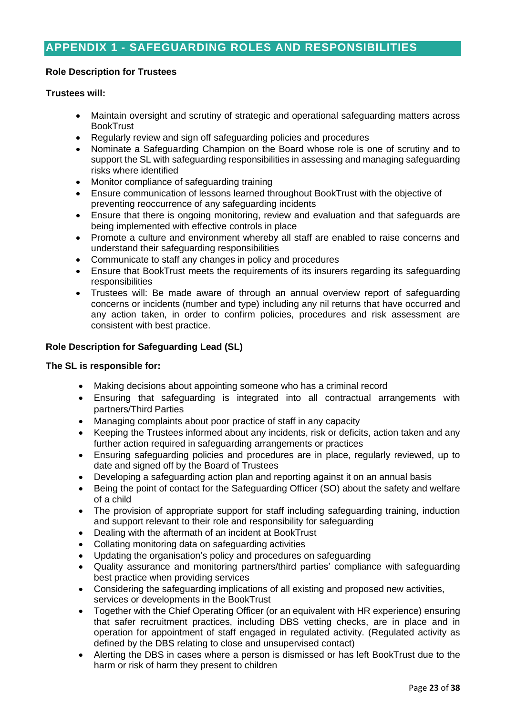## **APPENDIX 1 - SAFEGUARDING ROLES AND RESPONSIBILITIES**

#### **Role Description for Trustees**

#### **Trustees will:**

- Maintain oversight and scrutiny of strategic and operational safeguarding matters across **BookTrust**
- Regularly review and sign off safeguarding policies and procedures
- Nominate a Safeguarding Champion on the Board whose role is one of scrutiny and to support the SL with safeguarding responsibilities in assessing and managing safeguarding risks where identified
- Monitor compliance of safeguarding training
- Ensure communication of lessons learned throughout BookTrust with the objective of preventing reoccurrence of any safeguarding incidents
- Ensure that there is ongoing monitoring, review and evaluation and that safeguards are being implemented with effective controls in place
- Promote a culture and environment whereby all staff are enabled to raise concerns and understand their safeguarding responsibilities
- Communicate to staff any changes in policy and procedures
- Ensure that BookTrust meets the requirements of its insurers regarding its safeguarding responsibilities
- Trustees will: Be made aware of through an annual overview report of safeguarding concerns or incidents (number and type) including any nil returns that have occurred and any action taken, in order to confirm policies, procedures and risk assessment are consistent with best practice.

#### **Role Description for Safeguarding Lead (SL)**

#### **The SL is responsible for:**

- Making decisions about appointing someone who has a criminal record
- Ensuring that safeguarding is integrated into all contractual arrangements with partners/Third Parties
- Managing complaints about poor practice of staff in any capacity
- Keeping the Trustees informed about any incidents, risk or deficits, action taken and any further action required in safeguarding arrangements or practices
- Ensuring safeguarding policies and procedures are in place, regularly reviewed, up to date and signed off by the Board of Trustees
- Developing a safeguarding action plan and reporting against it on an annual basis
- Being the point of contact for the Safeguarding Officer (SO) about the safety and welfare of a child
- The provision of appropriate support for staff including safeguarding training, induction and support relevant to their role and responsibility for safeguarding
- Dealing with the aftermath of an incident at BookTrust
- Collating monitoring data on safeguarding activities
- Updating the organisation's policy and procedures on safeguarding
- Quality assurance and monitoring partners/third parties' compliance with safeguarding best practice when providing services
- Considering the safeguarding implications of all existing and proposed new activities, services or developments in the BookTrust
- Together with the Chief Operating Officer (or an equivalent with HR experience) ensuring that safer recruitment practices, including DBS vetting checks, are in place and in operation for appointment of staff engaged in regulated activity. (Regulated activity as defined by the DBS relating to close and unsupervised contact)
- Alerting the DBS in cases where a person is dismissed or has left BookTrust due to the harm or risk of harm they present to children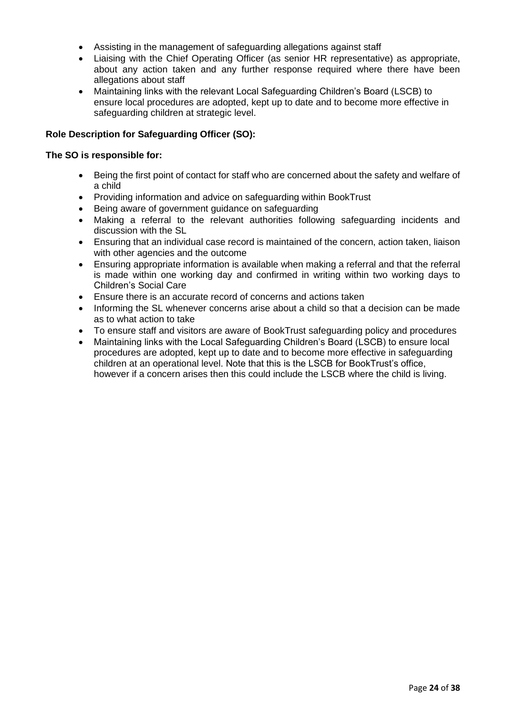- Assisting in the management of safeguarding allegations against staff
- Liaising with the Chief Operating Officer (as senior HR representative) as appropriate, about any action taken and any further response required where there have been allegations about staff
- Maintaining links with the relevant Local Safeguarding Children's Board (LSCB) to ensure local procedures are adopted, kept up to date and to become more effective in safeguarding children at strategic level.

#### **Role Description for Safeguarding Officer (SO):**

#### **The SO is responsible for:**

- Being the first point of contact for staff who are concerned about the safety and welfare of a child
- Providing information and advice on safeguarding within BookTrust
- Being aware of government guidance on safeguarding
- Making a referral to the relevant authorities following safeguarding incidents and discussion with the SL
- Ensuring that an individual case record is maintained of the concern, action taken, liaison with other agencies and the outcome
- Ensuring appropriate information is available when making a referral and that the referral is made within one working day and confirmed in writing within two working days to Children's Social Care
- Ensure there is an accurate record of concerns and actions taken
- Informing the SL whenever concerns arise about a child so that a decision can be made as to what action to take
- To ensure staff and visitors are aware of BookTrust safeguarding policy and procedures
- Maintaining links with the Local Safeguarding Children's Board (LSCB) to ensure local procedures are adopted, kept up to date and to become more effective in safeguarding children at an operational level. Note that this is the LSCB for BookTrust's office, however if a concern arises then this could include the LSCB where the child is living.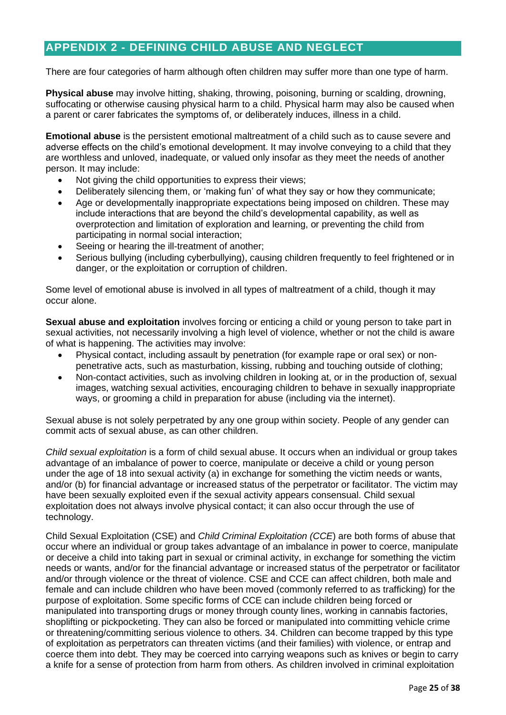## **APPENDIX 2 - DEFINING CHILD ABUSE AND NEGLECT**

There are four categories of harm although often children may suffer more than one type of harm.

**Physical abuse** may involve hitting, shaking, throwing, poisoning, burning or scalding, drowning, suffocating or otherwise causing physical harm to a child. Physical harm may also be caused when a parent or carer fabricates the symptoms of, or deliberately induces, illness in a child.

**Emotional abuse** is the persistent emotional maltreatment of a child such as to cause severe and adverse effects on the child's emotional development. It may involve conveying to a child that they are worthless and unloved, inadequate, or valued only insofar as they meet the needs of another person. It may include:

- Not giving the child opportunities to express their views;
- Deliberately silencing them, or 'making fun' of what they say or how they communicate;
- Age or developmentally inappropriate expectations being imposed on children. These may include interactions that are beyond the child's developmental capability, as well as overprotection and limitation of exploration and learning, or preventing the child from participating in normal social interaction;
- Seeing or hearing the ill-treatment of another;
- Serious bullying (including cyberbullying), causing children frequently to feel frightened or in danger, or the exploitation or corruption of children.

Some level of emotional abuse is involved in all types of maltreatment of a child, though it may occur alone.

**Sexual abuse and exploitation** involves forcing or enticing a child or young person to take part in sexual activities, not necessarily involving a high level of violence, whether or not the child is aware of what is happening. The activities may involve:

- Physical contact, including assault by penetration (for example rape or oral sex) or nonpenetrative acts, such as masturbation, kissing, rubbing and touching outside of clothing;
- Non-contact activities, such as involving children in looking at, or in the production of, sexual images, watching sexual activities, encouraging children to behave in sexually inappropriate ways, or grooming a child in preparation for abuse (including via the internet).

Sexual abuse is not solely perpetrated by any one group within society. People of any gender can commit acts of sexual abuse, as can other children.

*Child sexual exploitation* is a form of child sexual abuse. It occurs when an individual or group takes advantage of an imbalance of power to coerce, manipulate or deceive a child or young person under the age of 18 into sexual activity (a) in exchange for something the victim needs or wants, and/or (b) for financial advantage or increased status of the perpetrator or facilitator. The victim may have been sexually exploited even if the sexual activity appears consensual. Child sexual exploitation does not always involve physical contact; it can also occur through the use of technology.

Child Sexual Exploitation (CSE) and *Child Criminal Exploitation (CCE*) are both forms of abuse that occur where an individual or group takes advantage of an imbalance in power to coerce, manipulate or deceive a child into taking part in sexual or criminal activity, in exchange for something the victim needs or wants, and/or for the financial advantage or increased status of the perpetrator or facilitator and/or through violence or the threat of violence. CSE and CCE can affect children, both male and female and can include children who have been moved (commonly referred to as trafficking) for the purpose of exploitation. Some specific forms of CCE can include children being forced or manipulated into transporting drugs or money through county lines, working in cannabis factories, shoplifting or pickpocketing. They can also be forced or manipulated into committing vehicle crime or threatening/committing serious violence to others. 34. Children can become trapped by this type of exploitation as perpetrators can threaten victims (and their families) with violence, or entrap and coerce them into debt. They may be coerced into carrying weapons such as knives or begin to carry a knife for a sense of protection from harm from others. As children involved in criminal exploitation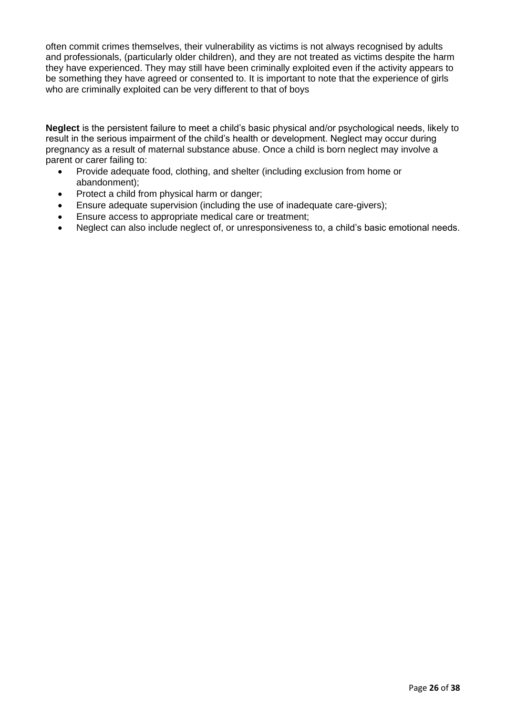often commit crimes themselves, their vulnerability as victims is not always recognised by adults and professionals, (particularly older children), and they are not treated as victims despite the harm they have experienced. They may still have been criminally exploited even if the activity appears to be something they have agreed or consented to. It is important to note that the experience of girls who are criminally exploited can be very different to that of boys

**Neglect** is the persistent failure to meet a child's basic physical and/or psychological needs, likely to result in the serious impairment of the child's health or development. Neglect may occur during pregnancy as a result of maternal substance abuse. Once a child is born neglect may involve a parent or carer failing to:

- Provide adequate food, clothing, and shelter (including exclusion from home or abandonment);
- Protect a child from physical harm or danger;
- Ensure adequate supervision (including the use of inadequate care-givers);
- Ensure access to appropriate medical care or treatment;
- Neglect can also include neglect of, or unresponsiveness to, a child's basic emotional needs.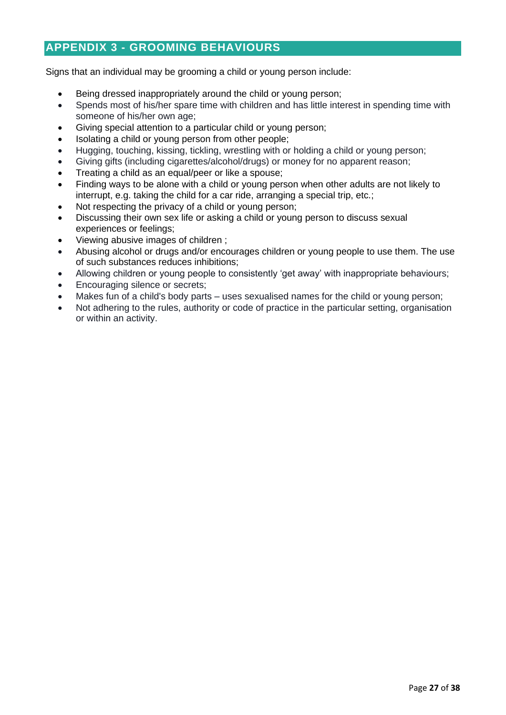## **APPENDIX 3 - GROOMING BEHAVIOURS**

Signs that an individual may be grooming a child or young person include:

- Being dressed inappropriately around the child or young person;
- Spends most of his/her spare time with children and has little interest in spending time with someone of his/her own age;
- Giving special attention to a particular child or young person;
- Isolating a child or young person from other people;
- Hugging, touching, kissing, tickling, wrestling with or holding a child or young person;
- Giving gifts (including cigarettes/alcohol/drugs) or money for no apparent reason;
- Treating a child as an equal/peer or like a spouse;
- Finding ways to be alone with a child or young person when other adults are not likely to interrupt, e.g. taking the child for a car ride, arranging a special trip, etc.;
- Not respecting the privacy of a child or young person;
- Discussing their own sex life or asking a child or young person to discuss sexual experiences or feelings;
- Viewing abusive images of children ;
- Abusing [alcohol or drugs](http://www.mosac.net/default.asp?pageid=203&deptid=1) and/or encourages children or young people to use them. The use of such substances reduces inhibitions;
- Allowing children or young people to consistently 'get away' with inappropriate behaviours;
- Encouraging silence or secrets;
- Makes fun of a child's body parts uses sexualised names for the child or young person;
- Not adhering to the rules, authority or code of practice in the particular setting, organisation or within an activity.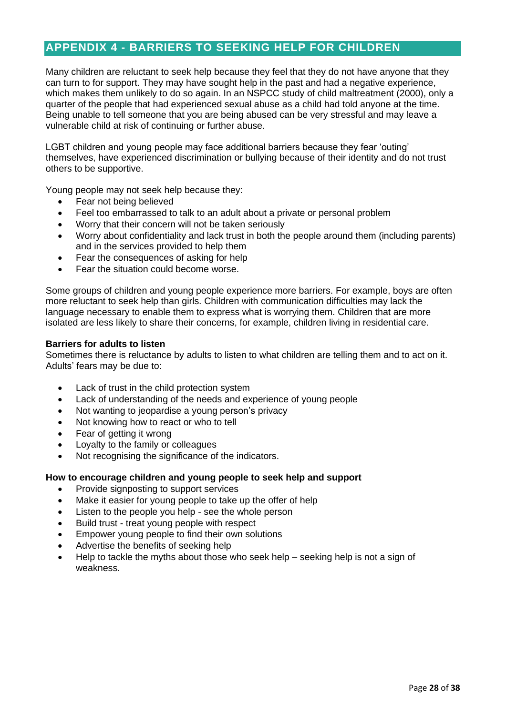## **APPENDIX 4 - BARRIERS TO SEEKING HELP FOR CHILDREN**

Many children are reluctant to seek help because they feel that they do not have anyone that they can turn to for support. They may have sought help in the past and had a negative experience, which makes them unlikely to do so again. In an NSPCC study of child maltreatment (2000), only a quarter of the people that had experienced sexual abuse as a child had told anyone at the time. Being unable to tell someone that you are being abused can be very stressful and may leave a vulnerable child at risk of continuing or further abuse.

LGBT children and young people may face additional barriers because they fear 'outing' themselves, have experienced discrimination or bullying because of their identity and do not trust others to be supportive.

Young people may not seek help because they:

- Fear not being believed
- Feel too embarrassed to talk to an adult about a private or personal problem
- Worry that their concern will not be taken seriously
- Worry about confidentiality and lack trust in both the people around them (including parents) and in the services provided to help them
- Fear the consequences of asking for help
- Fear the situation could become worse.

Some groups of children and young people experience more barriers. For example, boys are often more reluctant to seek help than girls. Children with communication difficulties may lack the language necessary to enable them to express what is worrying them. Children that are more isolated are less likely to share their concerns, for example, children living in residential care.

#### **Barriers for adults to listen**

Sometimes there is reluctance by adults to listen to what children are telling them and to act on it. Adults' fears may be due to:

- Lack of trust in the child protection system
- Lack of understanding of the needs and experience of young people
- Not wanting to jeopardise a young person's privacy
- Not knowing how to react or who to tell
- Fear of getting it wrong
- Loyalty to the family or colleagues
- Not recognising the significance of the indicators.

#### **How to encourage children and young people to seek help and support**

- Provide signposting to support services
- Make it easier for young people to take up the offer of help
- Listen to the people you help see the whole person
- Build trust treat young people with respect
- Empower young people to find their own solutions
- Advertise the benefits of seeking help
- Help to tackle the myths about those who seek help seeking help is not a sign of weakness.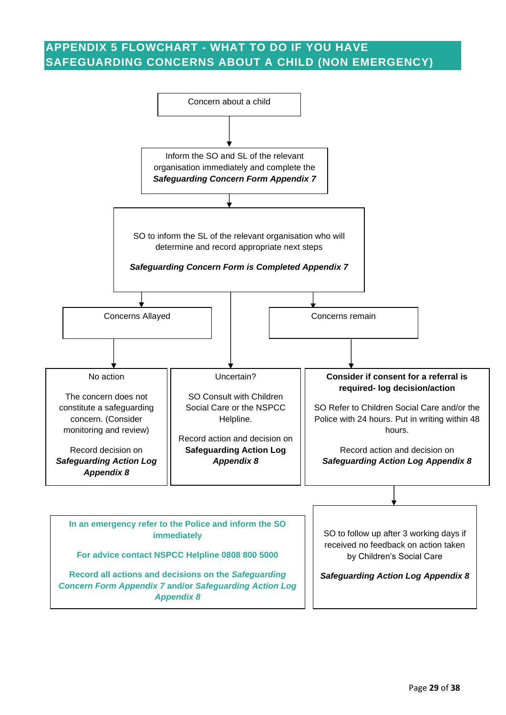## **APPENDIX 5 FLOWCHART - WHAT TO DO IF YOU HAVE SAFEGUARDING CONCERNS ABOUT A CHILD (NON EMERGENCY)**

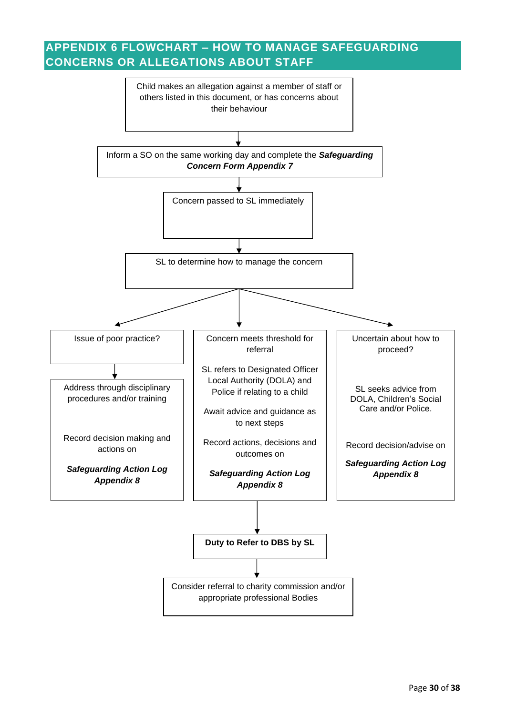## **APPENDIX 6 FLOWCHART – HOW TO MANAGE SAFEGUARDING CONCERNS OR ALLEGATIONS ABOUT STAFF**

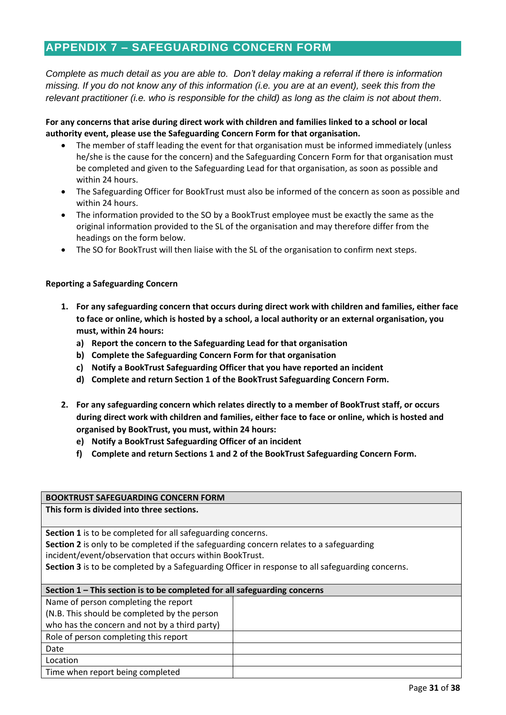## **APPENDIX 7 – SAFEGUARDING CONCERN FORM**

*Complete as much detail as you are able to. Don't delay making a referral if there is information missing. If you do not know any of this information (i.e. you are at an event), seek this from the relevant practitioner (i.e. who is responsible for the child) as long as the claim is not about them.* 

#### **For any concerns that arise during direct work with children and families linked to a school or local authority event, please use the Safeguarding Concern Form for that organisation.**

- The member of staff leading the event for that organisation must be informed immediately (unless he/she is the cause for the concern) and the Safeguarding Concern Form for that organisation must be completed and given to the Safeguarding Lead for that organisation, as soon as possible and within 24 hours.
- The Safeguarding Officer for BookTrust must also be informed of the concern as soon as possible and within 24 hours.
- The information provided to the SO by a BookTrust employee must be exactly the same as the original information provided to the SL of the organisation and may therefore differ from the headings on the form below.
- The SO for BookTrust will then liaise with the SL of the organisation to confirm next steps.

#### **Reporting a Safeguarding Concern**

- **1. For any safeguarding concern that occurs during direct work with children and families, either face to face or online, which is hosted by a school, a local authority or an external organisation, you must, within 24 hours:** 
	- **a) Report the concern to the Safeguarding Lead for that organisation**
	- **b) Complete the Safeguarding Concern Form for that organisation**
	- **c) Notify a BookTrust Safeguarding Officer that you have reported an incident**
	- **d) Complete and return Section 1 of the BookTrust Safeguarding Concern Form.**
- **2. For any safeguarding concern which relates directly to a member of BookTrust staff, or occurs during direct work with children and families, either face to face or online, which is hosted and organised by BookTrust, you must, within 24 hours:**
	- **e) Notify a BookTrust Safeguarding Officer of an incident**
	- **f) Complete and return Sections 1 and 2 of the BookTrust Safeguarding Concern Form.**

#### **BOOKTRUST SAFEGUARDING CONCERN FORM**

**This form is divided into three sections.** 

**Section 1** is to be completed for all safeguarding concerns.

**Section 2** is only to be completed if the safeguarding concern relates to a safeguarding

incident/event/observation that occurs within BookTrust.

**Section 3** is to be completed by a Safeguarding Officer in response to all safeguarding concerns.

| Section $1$ – This section is to be completed for all safeguarding concerns |  |  |
|-----------------------------------------------------------------------------|--|--|
| Name of person completing the report                                        |  |  |
| (N.B. This should be completed by the person                                |  |  |
| who has the concern and not by a third party)                               |  |  |
| Role of person completing this report                                       |  |  |
| Date                                                                        |  |  |
| Location                                                                    |  |  |
| Time when report being completed                                            |  |  |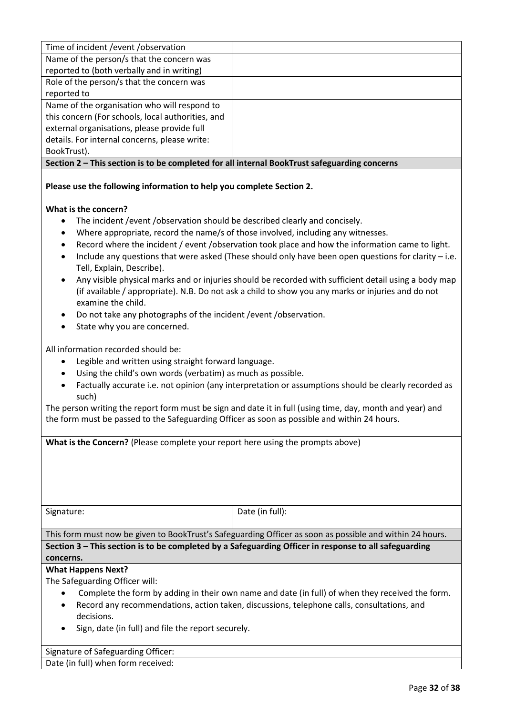| Time of incident / event / observation                                                       |  |  |
|----------------------------------------------------------------------------------------------|--|--|
| Name of the person/s that the concern was                                                    |  |  |
| reported to (both verbally and in writing)                                                   |  |  |
| Role of the person/s that the concern was                                                    |  |  |
| reported to                                                                                  |  |  |
| Name of the organisation who will respond to                                                 |  |  |
| this concern (For schools, local authorities, and                                            |  |  |
| external organisations, please provide full                                                  |  |  |
| details. For internal concerns, please write:                                                |  |  |
| BookTrust).                                                                                  |  |  |
| Section 2 – This section is to be completed for all internal BookTrust safeguarding concerns |  |  |
|                                                                                              |  |  |

#### **Please use the following information to help you complete Section 2.**

#### **What is the concern?**

- The incident /event /observation should be described clearly and concisely.
- Where appropriate, record the name/s of those involved, including any witnesses.
- Record where the incident / event /observation took place and how the information came to light.
- Include any questions that were asked (These should only have been open questions for clarity i.e. Tell, Explain, Describe).
- Any visible physical marks and or injuries should be recorded with sufficient detail using a body map (if available / appropriate). N.B. Do not ask a child to show you any marks or injuries and do not examine the child.
- Do not take any photographs of the incident /event /observation.
- State why you are concerned.

All information recorded should be:

- Legible and written using straight forward language.
- Using the child's own words (verbatim) as much as possible.
- Factually accurate i.e. not opinion (any interpretation or assumptions should be clearly recorded as such)

The person writing the report form must be sign and date it in full (using time, day, month and year) and the form must be passed to the Safeguarding Officer as soon as possible and within 24 hours.

| What is the Concern? (Please complete your report here using the prompts above)                               |                                                                                                          |  |
|---------------------------------------------------------------------------------------------------------------|----------------------------------------------------------------------------------------------------------|--|
|                                                                                                               |                                                                                                          |  |
|                                                                                                               |                                                                                                          |  |
|                                                                                                               |                                                                                                          |  |
|                                                                                                               |                                                                                                          |  |
|                                                                                                               |                                                                                                          |  |
|                                                                                                               |                                                                                                          |  |
| Signature:                                                                                                    | Date (in full):                                                                                          |  |
|                                                                                                               |                                                                                                          |  |
|                                                                                                               |                                                                                                          |  |
|                                                                                                               | This form must now be given to BookTrust's Safeguarding Officer as soon as possible and within 24 hours. |  |
| Section 3 – This section is to be completed by a Safeguarding Officer in response to all safeguarding         |                                                                                                          |  |
| concerns.                                                                                                     |                                                                                                          |  |
| <b>What Happens Next?</b>                                                                                     |                                                                                                          |  |
| The Safeguarding Officer will:                                                                                |                                                                                                          |  |
| Complete the form by adding in their own name and date (in full) of when they received the form.<br>$\bullet$ |                                                                                                          |  |

- Record any recommendations, action taken, discussions, telephone calls, consultations, and decisions.
- Sign, date (in full) and file the report securely.

## Signature of Safeguarding Officer:

Date (in full) when form received: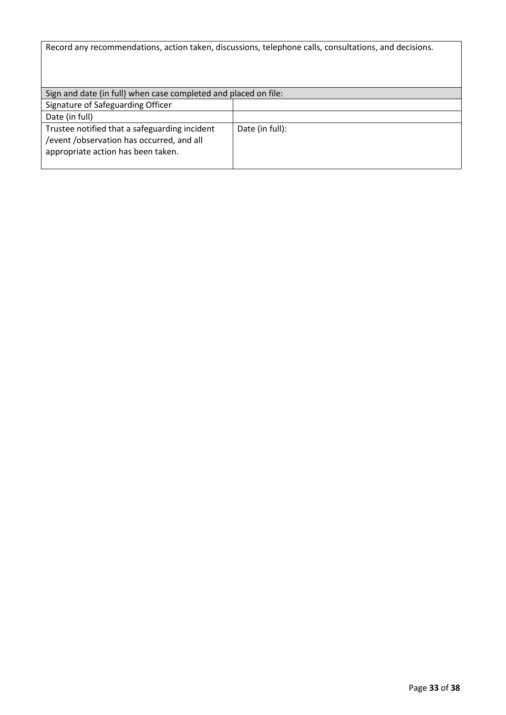Record any recommendations, action taken, discussions, telephone calls, consultations, and decisions.

| Sign and date (in full) when case completed and placed on file:                                                                 |                 |  |
|---------------------------------------------------------------------------------------------------------------------------------|-----------------|--|
| Signature of Safeguarding Officer                                                                                               |                 |  |
| Date (in full)                                                                                                                  |                 |  |
| Trustee notified that a safeguarding incident<br>/event/observation has occurred, and all<br>appropriate action has been taken. | Date (in full): |  |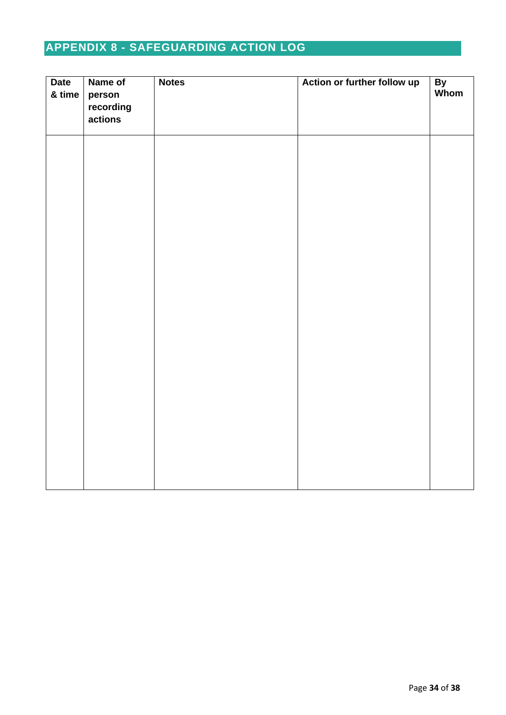# **APPENDIX 8 - SAFEGUARDING ACTION LOG**

| <b>Date</b><br>& time | Name of<br>person | <b>Notes</b> | Action or further follow up | By<br>Whom |
|-----------------------|-------------------|--------------|-----------------------------|------------|
|                       | recording         |              |                             |            |
|                       | actions           |              |                             |            |
|                       |                   |              |                             |            |
|                       |                   |              |                             |            |
|                       |                   |              |                             |            |
|                       |                   |              |                             |            |
|                       |                   |              |                             |            |
|                       |                   |              |                             |            |
|                       |                   |              |                             |            |
|                       |                   |              |                             |            |
|                       |                   |              |                             |            |
|                       |                   |              |                             |            |
|                       |                   |              |                             |            |
|                       |                   |              |                             |            |
|                       |                   |              |                             |            |
|                       |                   |              |                             |            |
|                       |                   |              |                             |            |
|                       |                   |              |                             |            |
|                       |                   |              |                             |            |
|                       |                   |              |                             |            |
|                       |                   |              |                             |            |
|                       |                   |              |                             |            |
|                       |                   |              |                             |            |
|                       |                   |              |                             |            |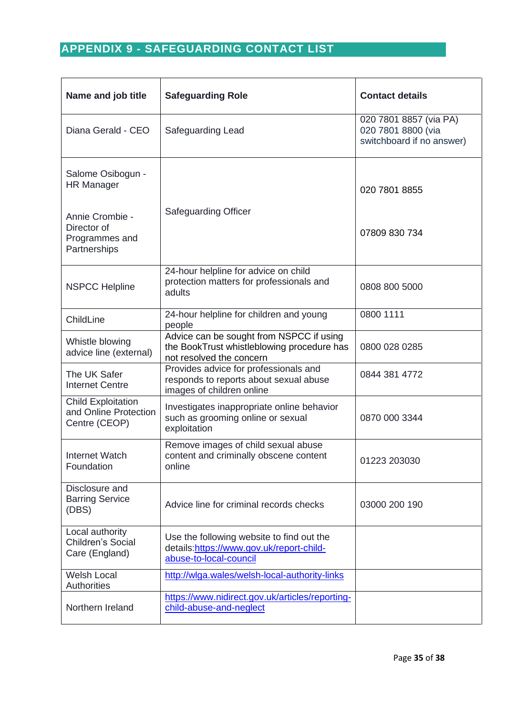# **APPENDIX 9 - SAFEGUARDING CONTACT LIST**

| Name and job title                                                  | <b>Safeguarding Role</b>                                                                                           | <b>Contact details</b>                                                    |
|---------------------------------------------------------------------|--------------------------------------------------------------------------------------------------------------------|---------------------------------------------------------------------------|
| Diana Gerald - CEO                                                  | Safeguarding Lead                                                                                                  | 020 7801 8857 (via PA)<br>020 7801 8800 (via<br>switchboard if no answer) |
| Salome Osibogun -<br><b>HR Manager</b>                              |                                                                                                                    | 020 7801 8855                                                             |
| Annie Crombie -<br>Director of<br>Programmes and<br>Partnerships    | Safeguarding Officer                                                                                               | 07809 830 734                                                             |
| <b>NSPCC Helpline</b>                                               | 24-hour helpline for advice on child<br>protection matters for professionals and<br>adults                         | 0808 800 5000                                                             |
| ChildLine                                                           | 24-hour helpline for children and young<br>people                                                                  | 0800 1111                                                                 |
| Whistle blowing<br>advice line (external)                           | Advice can be sought from NSPCC if using<br>the BookTrust whistleblowing procedure has<br>not resolved the concern | 0800 028 0285                                                             |
| The UK Safer<br><b>Internet Centre</b>                              | Provides advice for professionals and<br>responds to reports about sexual abuse<br>images of children online       | 0844 381 4772                                                             |
| <b>Child Exploitation</b><br>and Online Protection<br>Centre (CEOP) | Investigates inappropriate online behavior<br>such as grooming online or sexual<br>exploitation                    | 0870 000 3344                                                             |
| Internet Watch<br>Foundation                                        | Remove images of child sexual abuse<br>content and criminally obscene content<br>online                            | 01223 203030                                                              |
| Disclosure and<br><b>Barring Service</b><br>(DBS)                   | Advice line for criminal records checks                                                                            | 03000 200 190                                                             |
| Local authority<br>Children's Social<br>Care (England)              | Use the following website to find out the<br>details:https://www.gov.uk/report-child-<br>abuse-to-local-council    |                                                                           |
| <b>Welsh Local</b><br><b>Authorities</b>                            | http://wlga.wales/welsh-local-authority-links                                                                      |                                                                           |
| Northern Ireland                                                    | https://www.nidirect.gov.uk/articles/reporting-<br>child-abuse-and-neglect                                         |                                                                           |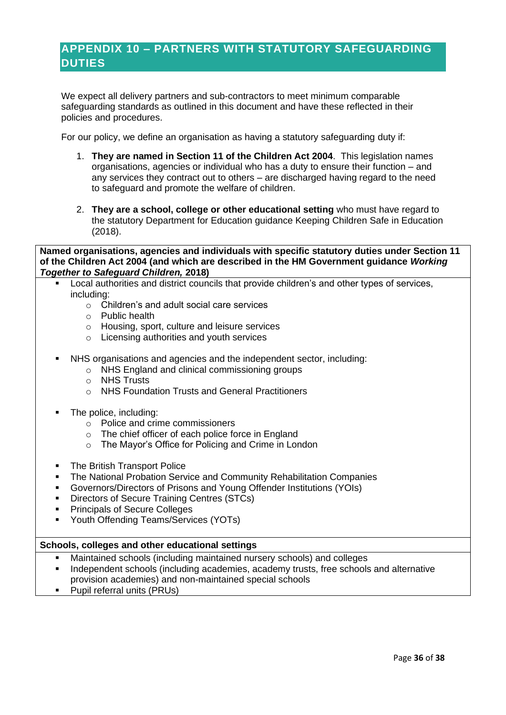## **APPENDIX 10 – PARTNERS WITH STATUTORY SAFEGUARDING DUTIES**

We expect all delivery partners and sub-contractors to meet minimum comparable safeguarding standards as outlined in this document and have these reflected in their policies and procedures.

For our policy, we define an organisation as having a statutory safeguarding duty if:

- 1. **They are named in Section 11 of the Children Act 2004**. This legislation names organisations, agencies or individual who has a duty to ensure their function – and any services they contract out to others – are discharged having regard to the need to safeguard and promote the welfare of children.
- 2. **They are a school, college or other educational setting** who must have regard to the statutory Department for Education guidance Keeping Children Safe in Education (2018).

**Named organisations, agencies and individuals with specific statutory duties under Section 11 of the Children Act 2004 (and which are described in the HM Government guidance** *Working Together to Safeguard Children,* **2018)**

- **EXECTE 2018** Local authorities and district councils that provide children's and other types of services, including:
	- o Children's and adult social care services
	- o Public health
	- o Housing, sport, culture and leisure services
	- o Licensing authorities and youth services
- NHS organisations and agencies and the independent sector, including:
	- o NHS England and clinical commissioning groups
	- o NHS Trusts
	- o NHS Foundation Trusts and General Practitioners
- The police, including:
	- $\circ$  Police and crime commissioners
	- o The chief officer of each police force in England
	- o The Mayor's Office for Policing and Crime in London
- The British Transport Police
- The National Probation Service and Community Rehabilitation Companies
- Governors/Directors of Prisons and Young Offender Institutions (YOIs)
- Directors of Secure Training Centres (STCs)
- Principals of Secure Colleges
- Youth Offending Teams/Services (YOTs)

#### **Schools, colleges and other educational settings**

- Maintained schools (including maintained nursery schools) and colleges
- Independent schools (including academies, academy trusts, free schools and alternative provision academies) and non-maintained special schools
- Pupil referral units (PRUs)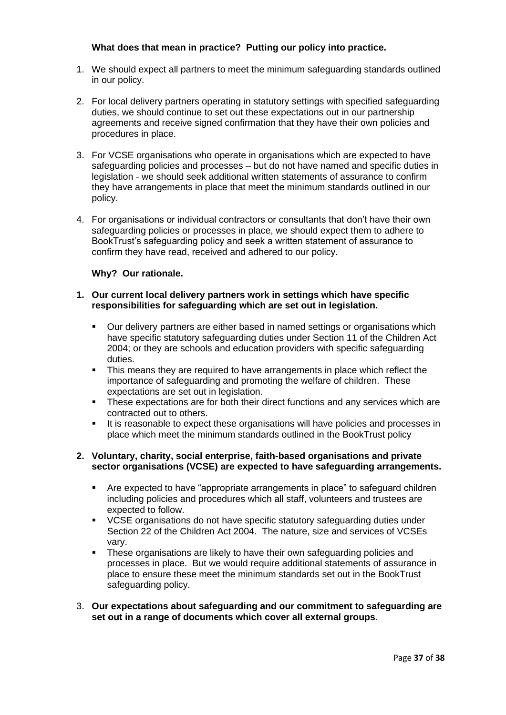#### **What does that mean in practice? Putting our policy into practice.**

- 1. We should expect all partners to meet the minimum safeguarding standards outlined in our policy.
- 2. For local delivery partners operating in statutory settings with specified safeguarding duties, we should continue to set out these expectations out in our partnership agreements and receive signed confirmation that they have their own policies and procedures in place.
- 3. For VCSE organisations who operate in organisations which are expected to have safeguarding policies and processes – but do not have named and specific duties in legislation - we should seek additional written statements of assurance to confirm they have arrangements in place that meet the minimum standards outlined in our policy.
- 4. For organisations or individual contractors or consultants that don't have their own safeguarding policies or processes in place, we should expect them to adhere to BookTrust's safeguarding policy and seek a written statement of assurance to confirm they have read, received and adhered to our policy.

#### **Why? Our rationale.**

#### **1. Our current local delivery partners work in settings which have specific responsibilities for safeguarding which are set out in legislation.**

- Our delivery partners are either based in named settings or organisations which have specific statutory safeguarding duties under Section 11 of the Children Act 2004; or they are schools and education providers with specific safeguarding duties.
- This means they are required to have arrangements in place which reflect the importance of safeguarding and promoting the welfare of children. These expectations are set out in legislation.
- These expectations are for both their direct functions and any services which are contracted out to others.
- It is reasonable to expect these organisations will have policies and processes in place which meet the minimum standards outlined in the BookTrust policy

#### **2. Voluntary, charity, social enterprise, faith-based organisations and private sector organisations (VCSE) are expected to have safeguarding arrangements.**

- Are expected to have "appropriate arrangements in place" to safeguard children including policies and procedures which all staff, volunteers and trustees are expected to follow.
- VCSE organisations do not have specific statutory safeguarding duties under Section 22 of the Children Act 2004. The nature, size and services of VCSEs vary.
- These organisations are likely to have their own safeguarding policies and processes in place. But we would require additional statements of assurance in place to ensure these meet the minimum standards set out in the BookTrust safeguarding policy.
- 3. **Our expectations about safeguarding and our commitment to safeguarding are set out in a range of documents which cover all external groups**.